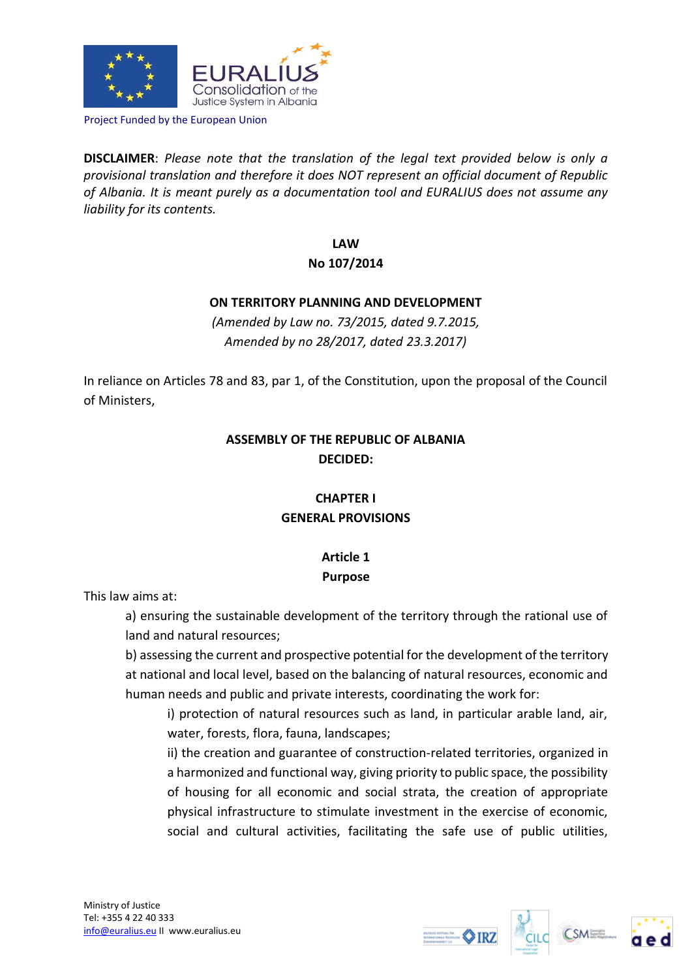

Project Funded by the European Union

**DISCLAIMER**: *Please note that the translation of the legal text provided below is only a provisional translation and therefore it does NOT represent an official document of Republic of Albania. It is meant purely as a documentation tool and EURALIUS does not assume any liability for its contents.*

### **LAW No 107/2014**

### **ON TERRITORY PLANNING AND DEVELOPMENT**

*(Amended by Law no. 73/2015, dated 9.7.2015, Amended by no 28/2017, dated 23.3.2017)*

In reliance on Articles 78 and 83, par 1, of the Constitution, upon the proposal of the Council of Ministers,

# **ASSEMBLY OF THE REPUBLIC OF ALBANIA DECIDED:**

# **CHAPTER I GENERAL PROVISIONS**

# **Article 1**

### **Purpose**

This law aims at:

a) ensuring the sustainable development of the territory through the rational use of land and natural resources;

b) assessing the current and prospective potential for the development of the territory at national and local level, based on the balancing of natural resources, economic and human needs and public and private interests, coordinating the work for:

i) protection of natural resources such as land, in particular arable land, air, water, forests, flora, fauna, landscapes;

ii) the creation and guarantee of construction-related territories, organized in a harmonized and functional way, giving priority to public space, the possibility of housing for all economic and social strata, the creation of appropriate physical infrastructure to stimulate investment in the exercise of economic, social and cultural activities, facilitating the safe use of public utilities,





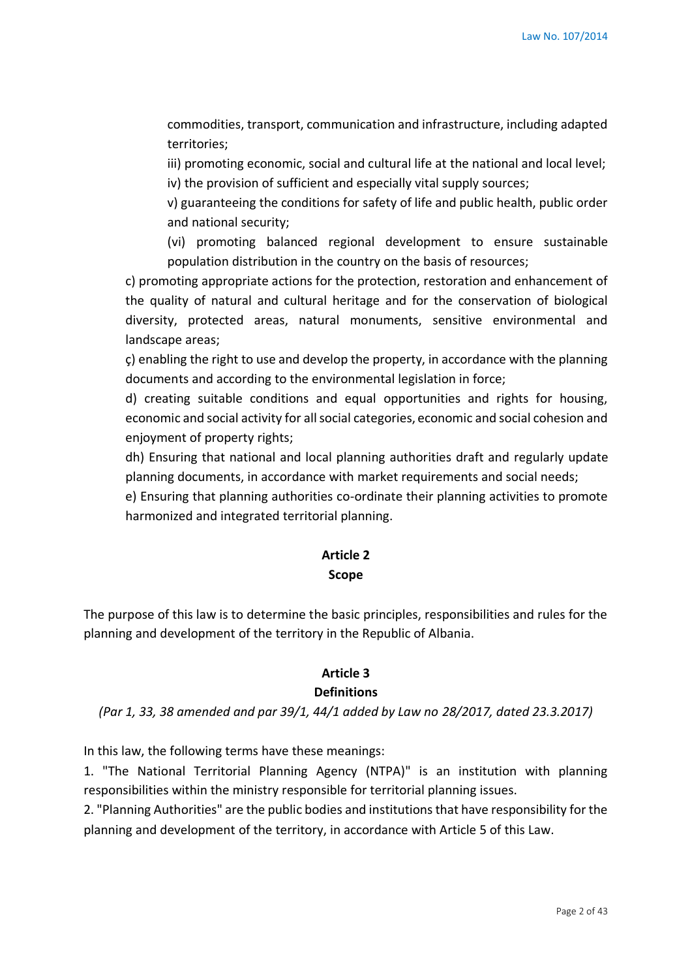commodities, transport, communication and infrastructure, including adapted territories;

iii) promoting economic, social and cultural life at the national and local level; iv) the provision of sufficient and especially vital supply sources;

v) guaranteeing the conditions for safety of life and public health, public order and national security;

(vi) promoting balanced regional development to ensure sustainable population distribution in the country on the basis of resources;

c) promoting appropriate actions for the protection, restoration and enhancement of the quality of natural and cultural heritage and for the conservation of biological diversity, protected areas, natural monuments, sensitive environmental and landscape areas;

ç) enabling the right to use and develop the property, in accordance with the planning documents and according to the environmental legislation in force;

d) creating suitable conditions and equal opportunities and rights for housing, economic and social activity for all social categories, economic and social cohesion and enjoyment of property rights;

dh) Ensuring that national and local planning authorities draft and regularly update planning documents, in accordance with market requirements and social needs;

e) Ensuring that planning authorities co-ordinate their planning activities to promote harmonized and integrated territorial planning.

# **Article 2**

#### **Scope**

The purpose of this law is to determine the basic principles, responsibilities and rules for the planning and development of the territory in the Republic of Albania.

### **Article 3**

### **Definitions**

*(Par 1, 33, 38 amended and par 39/1, 44/1 added by Law no 28/2017, dated 23.3.2017)*

In this law, the following terms have these meanings:

1. "The National Territorial Planning Agency (NTPA)" is an institution with planning responsibilities within the ministry responsible for territorial planning issues.

2. "Planning Authorities" are the public bodies and institutions that have responsibility for the planning and development of the territory, in accordance with Article 5 of this Law.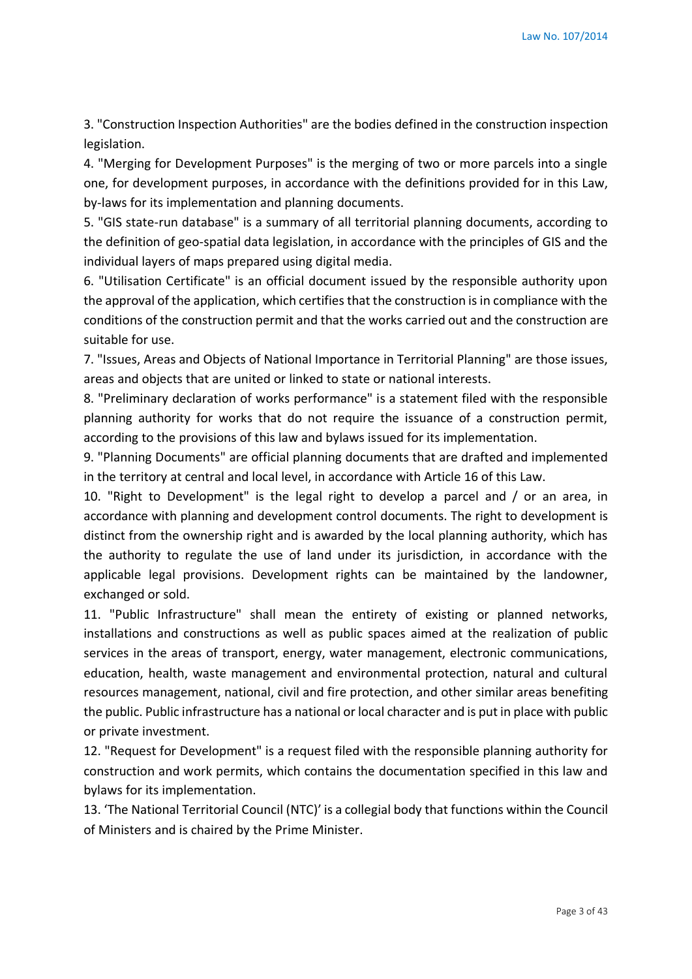3. "Construction Inspection Authorities" are the bodies defined in the construction inspection legislation.

4. "Merging for Development Purposes" is the merging of two or more parcels into a single one, for development purposes, in accordance with the definitions provided for in this Law, by-laws for its implementation and planning documents.

5. "GIS state-run database" is a summary of all territorial planning documents, according to the definition of geo-spatial data legislation, in accordance with the principles of GIS and the individual layers of maps prepared using digital media.

6. "Utilisation Certificate" is an official document issued by the responsible authority upon the approval of the application, which certifies that the construction is in compliance with the conditions of the construction permit and that the works carried out and the construction are suitable for use.

7. "Issues, Areas and Objects of National Importance in Territorial Planning" are those issues, areas and objects that are united or linked to state or national interests.

8. "Preliminary declaration of works performance" is a statement filed with the responsible planning authority for works that do not require the issuance of a construction permit, according to the provisions of this law and bylaws issued for its implementation.

9. "Planning Documents" are official planning documents that are drafted and implemented in the territory at central and local level, in accordance with Article 16 of this Law.

10. "Right to Development" is the legal right to develop a parcel and / or an area, in accordance with planning and development control documents. The right to development is distinct from the ownership right and is awarded by the local planning authority, which has the authority to regulate the use of land under its jurisdiction, in accordance with the applicable legal provisions. Development rights can be maintained by the landowner, exchanged or sold.

11. "Public Infrastructure" shall mean the entirety of existing or planned networks, installations and constructions as well as public spaces aimed at the realization of public services in the areas of transport, energy, water management, electronic communications, education, health, waste management and environmental protection, natural and cultural resources management, national, civil and fire protection, and other similar areas benefiting the public. Public infrastructure has a national or local character and is put in place with public or private investment.

12. "Request for Development" is a request filed with the responsible planning authority for construction and work permits, which contains the documentation specified in this law and bylaws for its implementation.

13. 'The National Territorial Council (NTC)' is a collegial body that functions within the Council of Ministers and is chaired by the Prime Minister.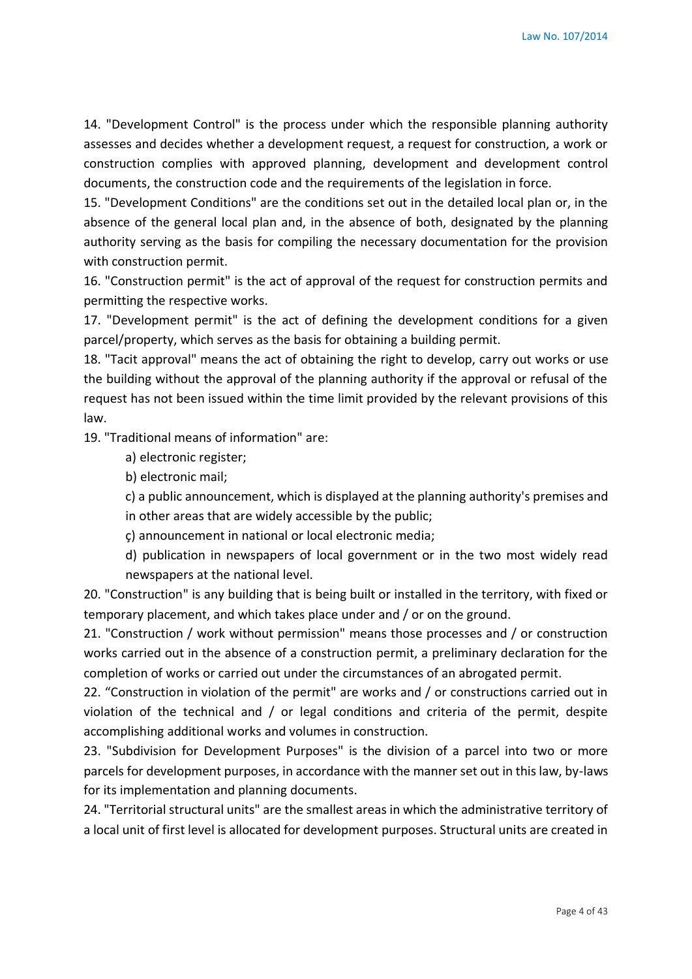14. "Development Control" is the process under which the responsible planning authority assesses and decides whether a development request, a request for construction, a work or construction complies with approved planning, development and development control documents, the construction code and the requirements of the legislation in force.

15. "Development Conditions" are the conditions set out in the detailed local plan or, in the absence of the general local plan and, in the absence of both, designated by the planning authority serving as the basis for compiling the necessary documentation for the provision with construction permit.

16. "Construction permit" is the act of approval of the request for construction permits and permitting the respective works.

17. "Development permit" is the act of defining the development conditions for a given parcel/property, which serves as the basis for obtaining a building permit.

18. "Tacit approval" means the act of obtaining the right to develop, carry out works or use the building without the approval of the planning authority if the approval or refusal of the request has not been issued within the time limit provided by the relevant provisions of this law.

19. "Traditional means of information" are:

a) electronic register;

b) electronic mail;

c) a public announcement, which is displayed at the planning authority's premises and in other areas that are widely accessible by the public;

ç) announcement in national or local electronic media;

d) publication in newspapers of local government or in the two most widely read newspapers at the national level.

20. "Construction" is any building that is being built or installed in the territory, with fixed or temporary placement, and which takes place under and / or on the ground.

21. "Construction / work without permission" means those processes and / or construction works carried out in the absence of a construction permit, a preliminary declaration for the completion of works or carried out under the circumstances of an abrogated permit.

22. "Construction in violation of the permit" are works and / or constructions carried out in violation of the technical and / or legal conditions and criteria of the permit, despite accomplishing additional works and volumes in construction.

23. "Subdivision for Development Purposes" is the division of a parcel into two or more parcels for development purposes, in accordance with the manner set out in this law, by-laws for its implementation and planning documents.

24. "Territorial structural units" are the smallest areas in which the administrative territory of a local unit of first level is allocated for development purposes. Structural units are created in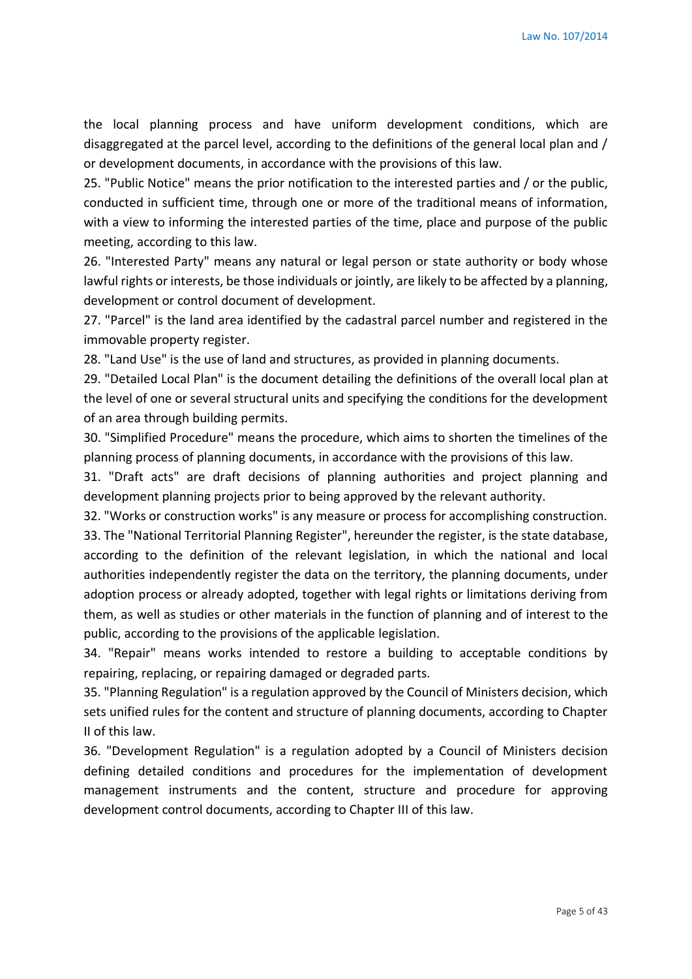the local planning process and have uniform development conditions, which are disaggregated at the parcel level, according to the definitions of the general local plan and / or development documents, in accordance with the provisions of this law.

25. "Public Notice" means the prior notification to the interested parties and / or the public, conducted in sufficient time, through one or more of the traditional means of information, with a view to informing the interested parties of the time, place and purpose of the public meeting, according to this law.

26. "Interested Party" means any natural or legal person or state authority or body whose lawful rights or interests, be those individuals or jointly, are likely to be affected by a planning, development or control document of development.

27. "Parcel" is the land area identified by the cadastral parcel number and registered in the immovable property register.

28. "Land Use" is the use of land and structures, as provided in planning documents.

29. "Detailed Local Plan" is the document detailing the definitions of the overall local plan at the level of one or several structural units and specifying the conditions for the development of an area through building permits.

30. "Simplified Procedure" means the procedure, which aims to shorten the timelines of the planning process of planning documents, in accordance with the provisions of this law.

31. "Draft acts" are draft decisions of planning authorities and project planning and development planning projects prior to being approved by the relevant authority.

32. "Works or construction works" is any measure or process for accomplishing construction. 33. The "National Territorial Planning Register", hereunder the register, is the state database, according to the definition of the relevant legislation, in which the national and local authorities independently register the data on the territory, the planning documents, under adoption process or already adopted, together with legal rights or limitations deriving from them, as well as studies or other materials in the function of planning and of interest to the public, according to the provisions of the applicable legislation.

34. "Repair" means works intended to restore a building to acceptable conditions by repairing, replacing, or repairing damaged or degraded parts.

35. "Planning Regulation" is a regulation approved by the Council of Ministers decision, which sets unified rules for the content and structure of planning documents, according to Chapter II of this law.

36. "Development Regulation" is a regulation adopted by a Council of Ministers decision defining detailed conditions and procedures for the implementation of development management instruments and the content, structure and procedure for approving development control documents, according to Chapter III of this law.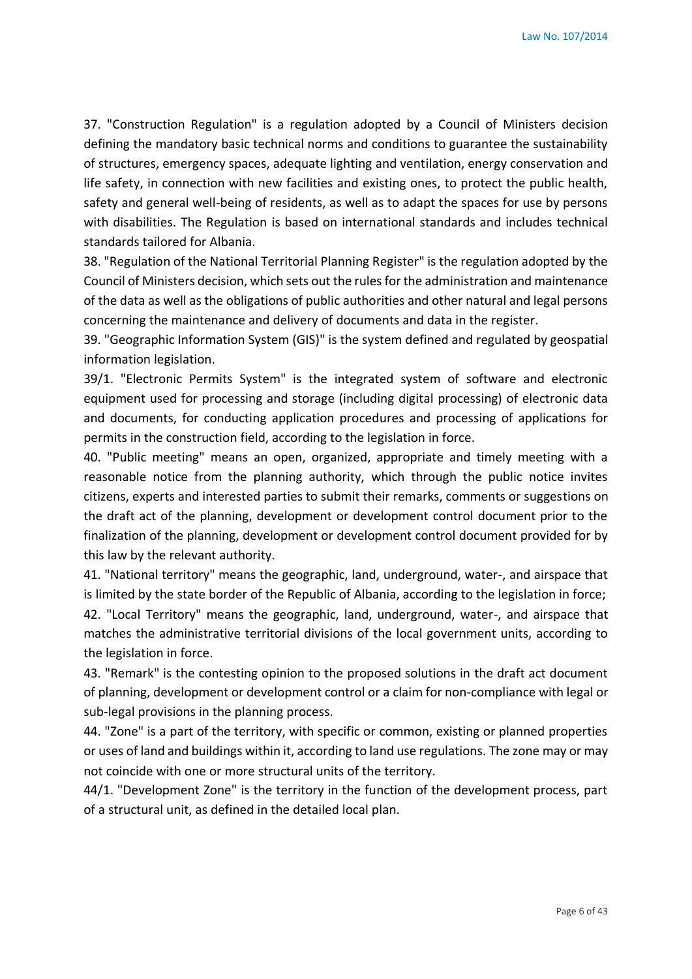37. "Construction Regulation" is a regulation adopted by a Council of Ministers decision defining the mandatory basic technical norms and conditions to guarantee the sustainability of structures, emergency spaces, adequate lighting and ventilation, energy conservation and life safety, in connection with new facilities and existing ones, to protect the public health, safety and general well-being of residents, as well as to adapt the spaces for use by persons with disabilities. The Regulation is based on international standards and includes technical standards tailored for Albania.

38. "Regulation of the National Territorial Planning Register" is the regulation adopted by the Council of Ministers decision, which sets out the rules for the administration and maintenance of the data as well as the obligations of public authorities and other natural and legal persons concerning the maintenance and delivery of documents and data in the register.

39. "Geographic Information System (GIS)" is the system defined and regulated by geospatial information legislation.

39/1. "Electronic Permits System" is the integrated system of software and electronic equipment used for processing and storage (including digital processing) of electronic data and documents, for conducting application procedures and processing of applications for permits in the construction field, according to the legislation in force.

40. "Public meeting" means an open, organized, appropriate and timely meeting with a reasonable notice from the planning authority, which through the public notice invites citizens, experts and interested parties to submit their remarks, comments or suggestions on the draft act of the planning, development or development control document prior to the finalization of the planning, development or development control document provided for by this law by the relevant authority.

41. "National territory" means the geographic, land, underground, water-, and airspace that is limited by the state border of the Republic of Albania, according to the legislation in force; 42. "Local Territory" means the geographic, land, underground, water-, and airspace that matches the administrative territorial divisions of the local government units, according to the legislation in force.

43. "Remark" is the contesting opinion to the proposed solutions in the draft act document of planning, development or development control or a claim for non-compliance with legal or sub-legal provisions in the planning process.

44. "Zone" is a part of the territory, with specific or common, existing or planned properties or uses of land and buildings within it, according to land use regulations. The zone may or may not coincide with one or more structural units of the territory.

44/1. "Development Zone" is the territory in the function of the development process, part of a structural unit, as defined in the detailed local plan.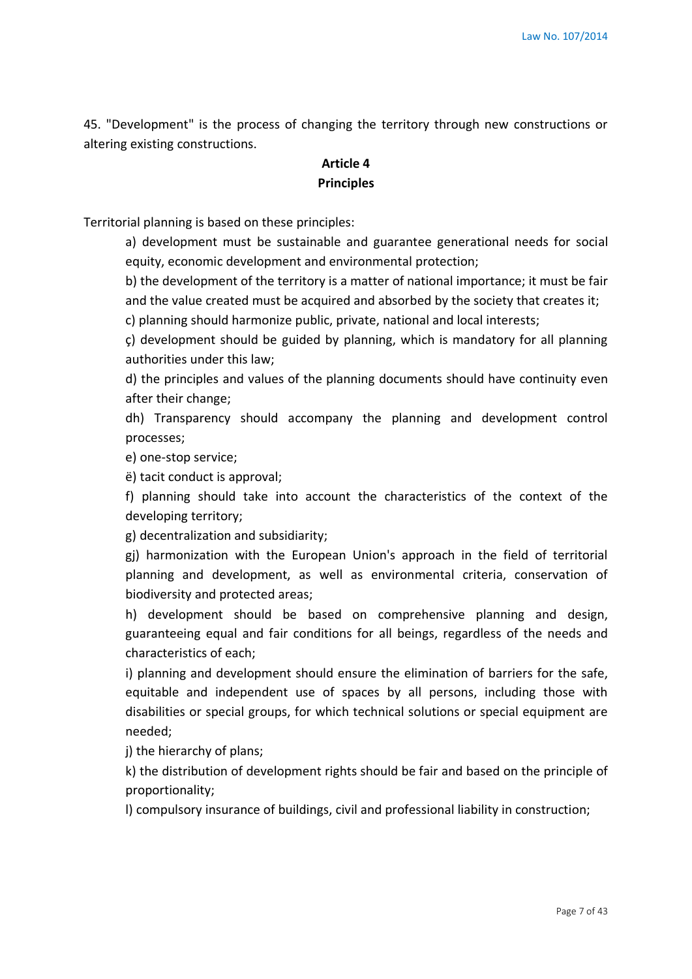45. "Development" is the process of changing the territory through new constructions or altering existing constructions.

# **Article 4 Principles**

Territorial planning is based on these principles:

a) development must be sustainable and guarantee generational needs for social equity, economic development and environmental protection;

b) the development of the territory is a matter of national importance; it must be fair and the value created must be acquired and absorbed by the society that creates it;

c) planning should harmonize public, private, national and local interests;

ç) development should be guided by planning, which is mandatory for all planning authorities under this law;

d) the principles and values of the planning documents should have continuity even after their change;

dh) Transparency should accompany the planning and development control processes;

e) one-stop service;

ë) tacit conduct is approval;

f) planning should take into account the characteristics of the context of the developing territory;

g) decentralization and subsidiarity;

gj) harmonization with the European Union's approach in the field of territorial planning and development, as well as environmental criteria, conservation of biodiversity and protected areas;

h) development should be based on comprehensive planning and design, guaranteeing equal and fair conditions for all beings, regardless of the needs and characteristics of each;

i) planning and development should ensure the elimination of barriers for the safe, equitable and independent use of spaces by all persons, including those with disabilities or special groups, for which technical solutions or special equipment are needed;

j) the hierarchy of plans;

k) the distribution of development rights should be fair and based on the principle of proportionality;

l) compulsory insurance of buildings, civil and professional liability in construction;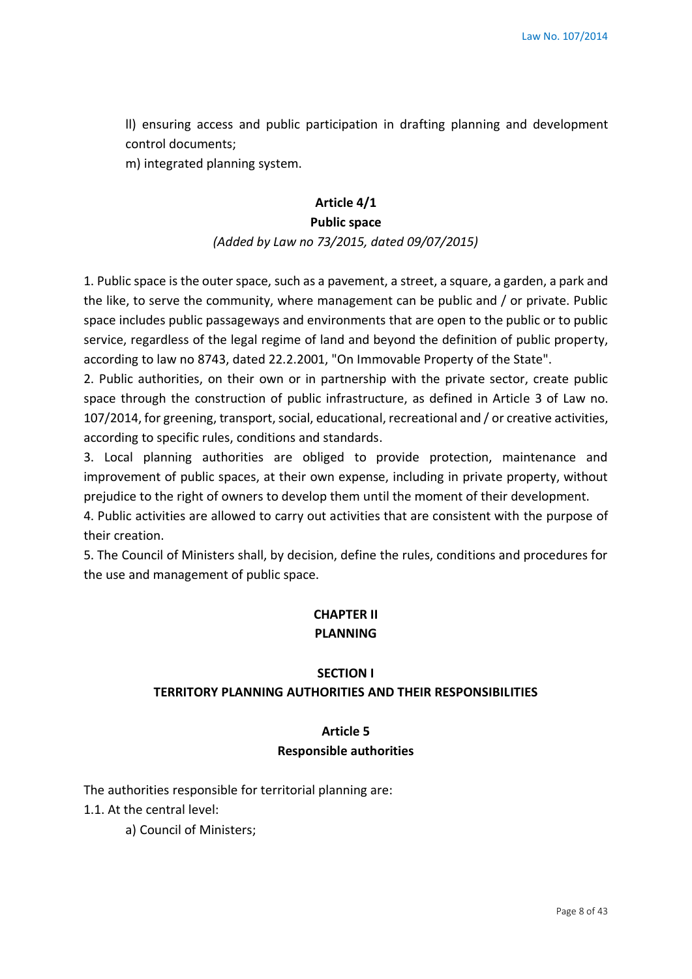ll) ensuring access and public participation in drafting planning and development control documents;

m) integrated planning system.

#### **Article 4/1**

#### **Public space**

#### *(Added by Law no 73/2015, dated 09/07/2015)*

1. Public space is the outer space, such as a pavement, a street, a square, a garden, a park and the like, to serve the community, where management can be public and / or private. Public space includes public passageways and environments that are open to the public or to public service, regardless of the legal regime of land and beyond the definition of public property, according to law no 8743, dated 22.2.2001, "On Immovable Property of the State".

2. Public authorities, on their own or in partnership with the private sector, create public space through the construction of public infrastructure, as defined in Article 3 of Law no. 107/2014, for greening, transport, social, educational, recreational and / or creative activities, according to specific rules, conditions and standards.

3. Local planning authorities are obliged to provide protection, maintenance and improvement of public spaces, at their own expense, including in private property, without prejudice to the right of owners to develop them until the moment of their development.

4. Public activities are allowed to carry out activities that are consistent with the purpose of their creation.

5. The Council of Ministers shall, by decision, define the rules, conditions and procedures for the use and management of public space.

# **CHAPTER II PLANNING**

#### **SECTION I**

#### **TERRITORY PLANNING AUTHORITIES AND THEIR RESPONSIBILITIES**

# **Article 5 Responsible authorities**

The authorities responsible for territorial planning are:

1.1. At the central level:

a) Council of Ministers;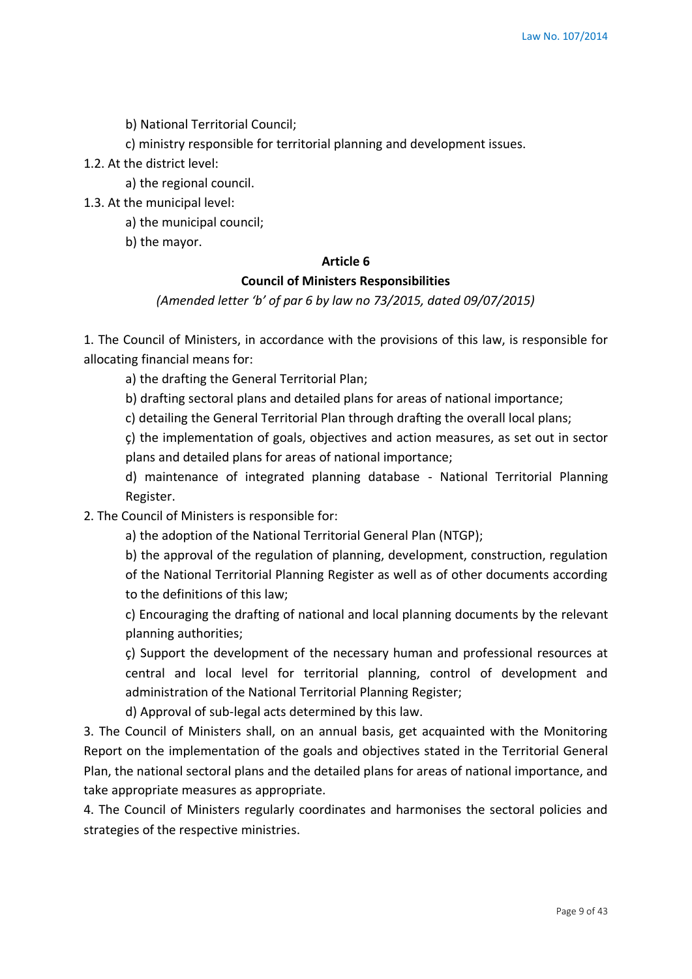b) National Territorial Council;

c) ministry responsible for territorial planning and development issues.

1.2. At the district level:

a) the regional council.

1.3. At the municipal level:

a) the municipal council;

b) the mayor.

#### **Article 6**

#### **Council of Ministers Responsibilities**

*(Amended letter 'b' of par 6 by law no 73/2015, dated 09/07/2015)*

1. The Council of Ministers, in accordance with the provisions of this law, is responsible for allocating financial means for:

a) the drafting the General Territorial Plan;

b) drafting sectoral plans and detailed plans for areas of national importance;

c) detailing the General Territorial Plan through drafting the overall local plans;

ç) the implementation of goals, objectives and action measures, as set out in sector plans and detailed plans for areas of national importance;

d) maintenance of integrated planning database - National Territorial Planning Register.

2. The Council of Ministers is responsible for:

a) the adoption of the National Territorial General Plan (NTGP);

b) the approval of the regulation of planning, development, construction, regulation of the National Territorial Planning Register as well as of other documents according to the definitions of this law;

c) Encouraging the drafting of national and local planning documents by the relevant planning authorities;

ç) Support the development of the necessary human and professional resources at central and local level for territorial planning, control of development and administration of the National Territorial Planning Register;

d) Approval of sub-legal acts determined by this law.

3. The Council of Ministers shall, on an annual basis, get acquainted with the Monitoring Report on the implementation of the goals and objectives stated in the Territorial General Plan, the national sectoral plans and the detailed plans for areas of national importance, and take appropriate measures as appropriate.

4. The Council of Ministers regularly coordinates and harmonises the sectoral policies and strategies of the respective ministries.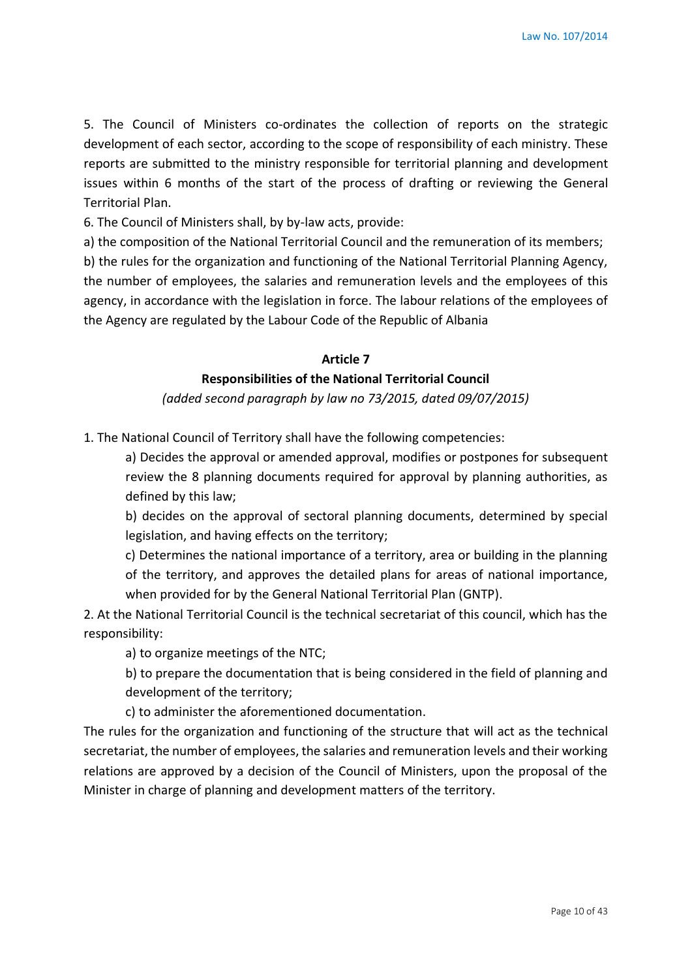5. The Council of Ministers co-ordinates the collection of reports on the strategic development of each sector, according to the scope of responsibility of each ministry. These reports are submitted to the ministry responsible for territorial planning and development issues within 6 months of the start of the process of drafting or reviewing the General Territorial Plan.

6. The Council of Ministers shall, by by-law acts, provide:

a) the composition of the National Territorial Council and the remuneration of its members;

b) the rules for the organization and functioning of the National Territorial Planning Agency, the number of employees, the salaries and remuneration levels and the employees of this agency, in accordance with the legislation in force. The labour relations of the employees of the Agency are regulated by the Labour Code of the Republic of Albania

#### **Article 7**

### **Responsibilities of the National Territorial Council**

*(added second paragraph by law no 73/2015, dated 09/07/2015)*

1. The National Council of Territory shall have the following competencies:

a) Decides the approval or amended approval, modifies or postpones for subsequent review the 8 planning documents required for approval by planning authorities, as defined by this law;

b) decides on the approval of sectoral planning documents, determined by special legislation, and having effects on the territory;

c) Determines the national importance of a territory, area or building in the planning of the territory, and approves the detailed plans for areas of national importance, when provided for by the General National Territorial Plan (GNTP).

2. At the National Territorial Council is the technical secretariat of this council, which has the responsibility:

a) to organize meetings of the NTC;

b) to prepare the documentation that is being considered in the field of planning and development of the territory;

c) to administer the aforementioned documentation.

The rules for the organization and functioning of the structure that will act as the technical secretariat, the number of employees, the salaries and remuneration levels and their working relations are approved by a decision of the Council of Ministers, upon the proposal of the Minister in charge of planning and development matters of the territory.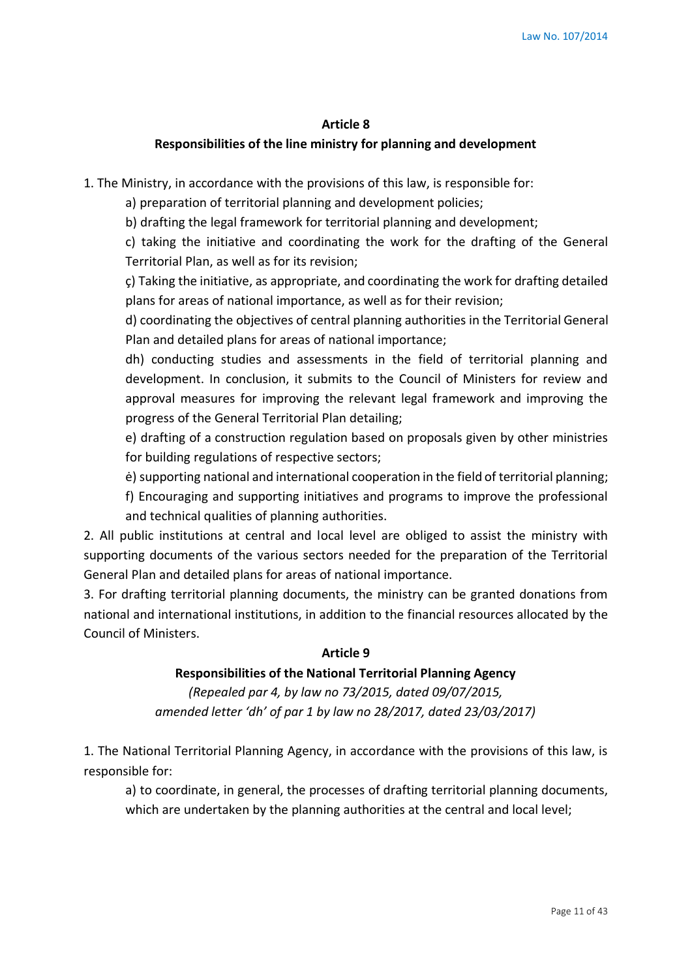#### **Article 8**

#### **Responsibilities of the line ministry for planning and development**

1. The Ministry, in accordance with the provisions of this law, is responsible for:

a) preparation of territorial planning and development policies;

b) drafting the legal framework for territorial planning and development;

c) taking the initiative and coordinating the work for the drafting of the General Territorial Plan, as well as for its revision;

ç) Taking the initiative, as appropriate, and coordinating the work for drafting detailed plans for areas of national importance, as well as for their revision;

d) coordinating the objectives of central planning authorities in the Territorial General Plan and detailed plans for areas of national importance;

dh) conducting studies and assessments in the field of territorial planning and development. In conclusion, it submits to the Council of Ministers for review and approval measures for improving the relevant legal framework and improving the progress of the General Territorial Plan detailing;

e) drafting of a construction regulation based on proposals given by other ministries for building regulations of respective sectors;

ė) supporting national and international cooperation in the field of territorial planning;

f) Encouraging and supporting initiatives and programs to improve the professional and technical qualities of planning authorities.

2. All public institutions at central and local level are obliged to assist the ministry with supporting documents of the various sectors needed for the preparation of the Territorial General Plan and detailed plans for areas of national importance.

3. For drafting territorial planning documents, the ministry can be granted donations from national and international institutions, in addition to the financial resources allocated by the Council of Ministers.

### **Article 9**

### **Responsibilities of the National Territorial Planning Agency**

*(Repealed par 4, by law no 73/2015, dated 09/07/2015, amended letter 'dh' of par 1 by law no 28/2017, dated 23/03/2017)*

1. The National Territorial Planning Agency, in accordance with the provisions of this law, is responsible for:

a) to coordinate, in general, the processes of drafting territorial planning documents, which are undertaken by the planning authorities at the central and local level;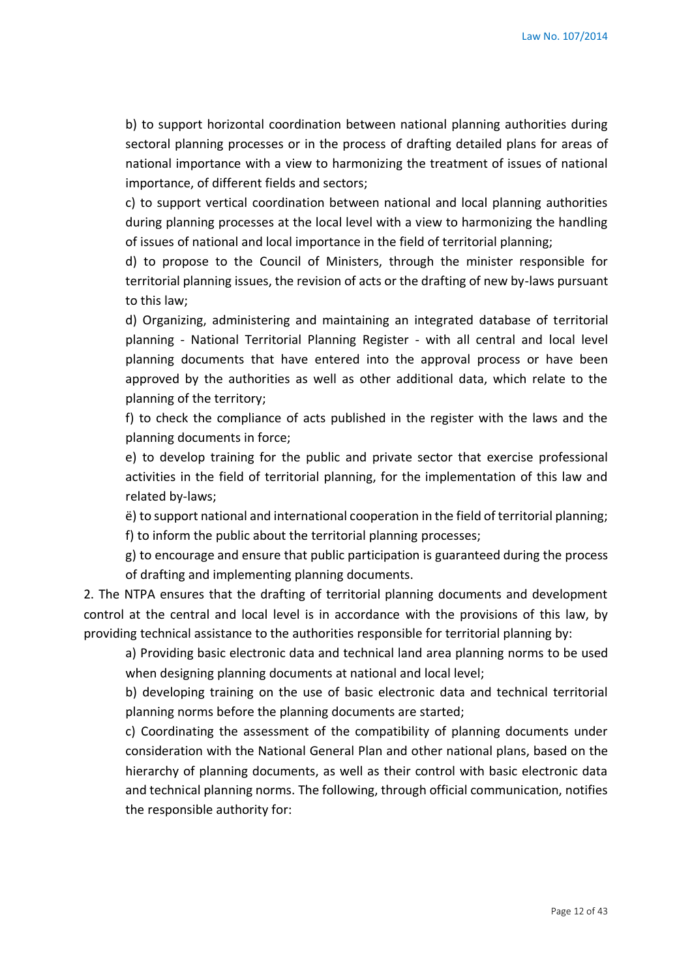b) to support horizontal coordination between national planning authorities during sectoral planning processes or in the process of drafting detailed plans for areas of national importance with a view to harmonizing the treatment of issues of national importance, of different fields and sectors;

c) to support vertical coordination between national and local planning authorities during planning processes at the local level with a view to harmonizing the handling of issues of national and local importance in the field of territorial planning;

d) to propose to the Council of Ministers, through the minister responsible for territorial planning issues, the revision of acts or the drafting of new by-laws pursuant to this law;

d) Organizing, administering and maintaining an integrated database of territorial planning - National Territorial Planning Register - with all central and local level planning documents that have entered into the approval process or have been approved by the authorities as well as other additional data, which relate to the planning of the territory;

f) to check the compliance of acts published in the register with the laws and the planning documents in force;

e) to develop training for the public and private sector that exercise professional activities in the field of territorial planning, for the implementation of this law and related by-laws;

ë) to support national and international cooperation in the field of territorial planning; f) to inform the public about the territorial planning processes;

g) to encourage and ensure that public participation is guaranteed during the process of drafting and implementing planning documents.

2. The NTPA ensures that the drafting of territorial planning documents and development control at the central and local level is in accordance with the provisions of this law, by providing technical assistance to the authorities responsible for territorial planning by:

a) Providing basic electronic data and technical land area planning norms to be used when designing planning documents at national and local level;

b) developing training on the use of basic electronic data and technical territorial planning norms before the planning documents are started;

c) Coordinating the assessment of the compatibility of planning documents under consideration with the National General Plan and other national plans, based on the hierarchy of planning documents, as well as their control with basic electronic data and technical planning norms. The following, through official communication, notifies the responsible authority for: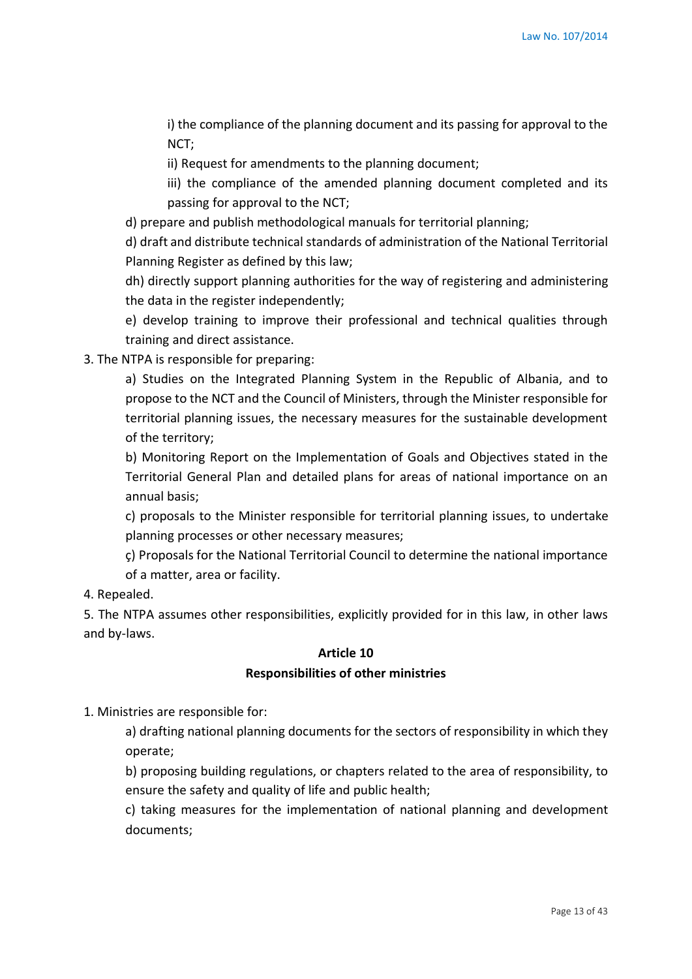i) the compliance of the planning document and its passing for approval to the NCT;

ii) Request for amendments to the planning document;

iii) the compliance of the amended planning document completed and its passing for approval to the NCT;

d) prepare and publish methodological manuals for territorial planning;

d) draft and distribute technical standards of administration of the National Territorial Planning Register as defined by this law;

dh) directly support planning authorities for the way of registering and administering the data in the register independently;

e) develop training to improve their professional and technical qualities through training and direct assistance.

3. The NTPA is responsible for preparing:

a) Studies on the Integrated Planning System in the Republic of Albania, and to propose to the NCT and the Council of Ministers, through the Minister responsible for territorial planning issues, the necessary measures for the sustainable development of the territory;

b) Monitoring Report on the Implementation of Goals and Objectives stated in the Territorial General Plan and detailed plans for areas of national importance on an annual basis;

c) proposals to the Minister responsible for territorial planning issues, to undertake planning processes or other necessary measures;

ç) Proposals for the National Territorial Council to determine the national importance of a matter, area or facility.

4. Repealed.

5. The NTPA assumes other responsibilities, explicitly provided for in this law, in other laws and by-laws.

#### **Article 10**

#### **Responsibilities of other ministries**

1. Ministries are responsible for:

a) drafting national planning documents for the sectors of responsibility in which they operate;

b) proposing building regulations, or chapters related to the area of responsibility, to ensure the safety and quality of life and public health;

c) taking measures for the implementation of national planning and development documents;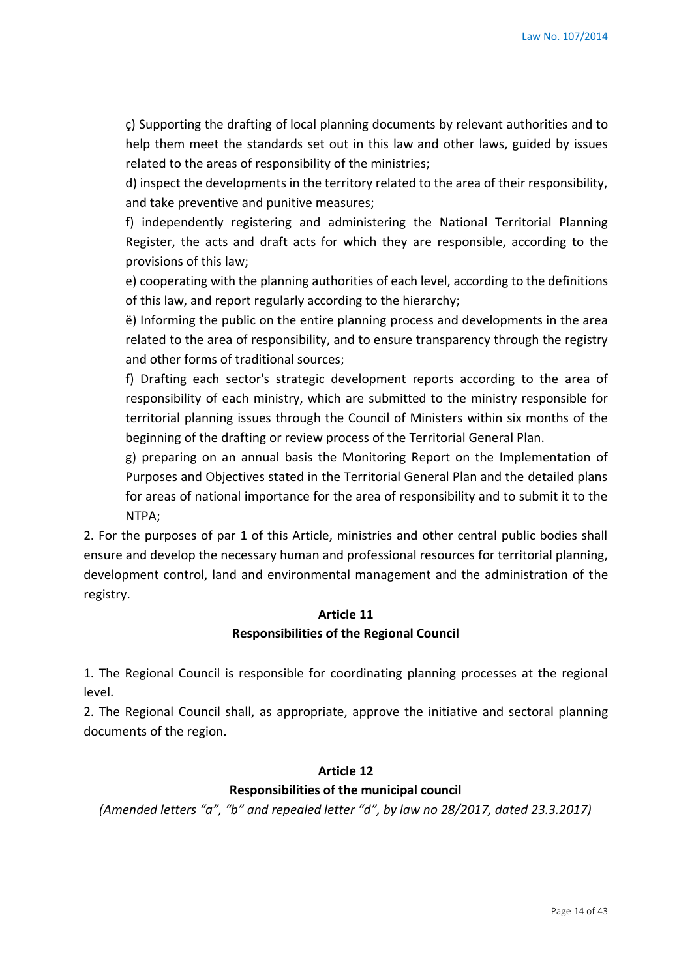ç) Supporting the drafting of local planning documents by relevant authorities and to help them meet the standards set out in this law and other laws, guided by issues related to the areas of responsibility of the ministries;

d) inspect the developments in the territory related to the area of their responsibility, and take preventive and punitive measures;

f) independently registering and administering the National Territorial Planning Register, the acts and draft acts for which they are responsible, according to the provisions of this law;

e) cooperating with the planning authorities of each level, according to the definitions of this law, and report regularly according to the hierarchy;

ë) Informing the public on the entire planning process and developments in the area related to the area of responsibility, and to ensure transparency through the registry and other forms of traditional sources;

f) Drafting each sector's strategic development reports according to the area of responsibility of each ministry, which are submitted to the ministry responsible for territorial planning issues through the Council of Ministers within six months of the beginning of the drafting or review process of the Territorial General Plan.

g) preparing on an annual basis the Monitoring Report on the Implementation of Purposes and Objectives stated in the Territorial General Plan and the detailed plans for areas of national importance for the area of responsibility and to submit it to the NTPA;

2. For the purposes of par 1 of this Article, ministries and other central public bodies shall ensure and develop the necessary human and professional resources for territorial planning, development control, land and environmental management and the administration of the registry.

### **Article 11 Responsibilities of the Regional Council**

1. The Regional Council is responsible for coordinating planning processes at the regional level.

2. The Regional Council shall, as appropriate, approve the initiative and sectoral planning documents of the region.

### **Article 12**

### **Responsibilities of the municipal council**

*(Amended letters "a", "b" and repealed letter "d", by law no 28/2017, dated 23.3.2017)*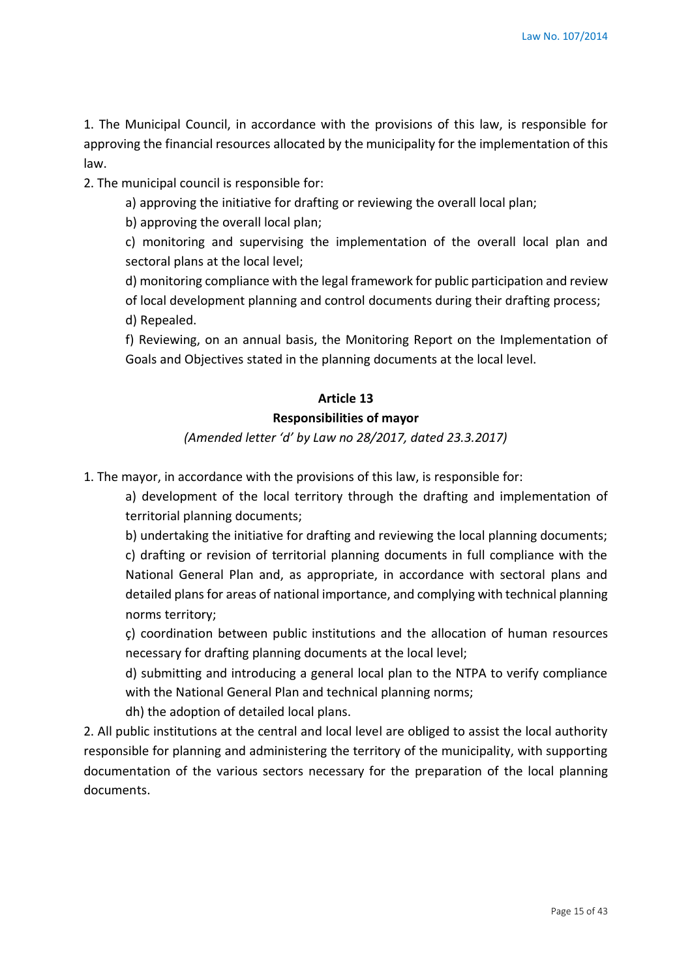1. The Municipal Council, in accordance with the provisions of this law, is responsible for approving the financial resources allocated by the municipality for the implementation of this law.

2. The municipal council is responsible for:

a) approving the initiative for drafting or reviewing the overall local plan;

b) approving the overall local plan;

c) monitoring and supervising the implementation of the overall local plan and sectoral plans at the local level;

d) monitoring compliance with the legal framework for public participation and review

of local development planning and control documents during their drafting process;

d) Repealed.

f) Reviewing, on an annual basis, the Monitoring Report on the Implementation of Goals and Objectives stated in the planning documents at the local level.

### **Article 13**

### **Responsibilities of mayor**

*(Amended letter 'd' by Law no 28/2017, dated 23.3.2017)*

1. The mayor, in accordance with the provisions of this law, is responsible for:

a) development of the local territory through the drafting and implementation of territorial planning documents;

b) undertaking the initiative for drafting and reviewing the local planning documents; c) drafting or revision of territorial planning documents in full compliance with the National General Plan and, as appropriate, in accordance with sectoral plans and detailed plans for areas of national importance, and complying with technical planning norms territory;

ç) coordination between public institutions and the allocation of human resources necessary for drafting planning documents at the local level;

d) submitting and introducing a general local plan to the NTPA to verify compliance with the National General Plan and technical planning norms;

dh) the adoption of detailed local plans.

2. All public institutions at the central and local level are obliged to assist the local authority responsible for planning and administering the territory of the municipality, with supporting documentation of the various sectors necessary for the preparation of the local planning documents.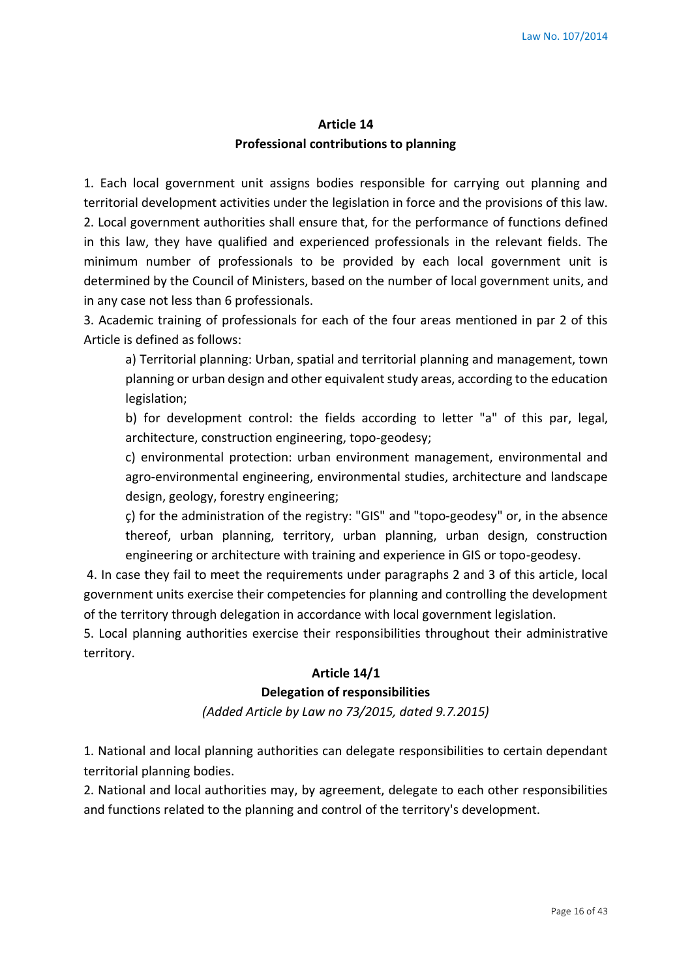# **Article 14 Professional contributions to planning**

1. Each local government unit assigns bodies responsible for carrying out planning and territorial development activities under the legislation in force and the provisions of this law. 2. Local government authorities shall ensure that, for the performance of functions defined in this law, they have qualified and experienced professionals in the relevant fields. The minimum number of professionals to be provided by each local government unit is determined by the Council of Ministers, based on the number of local government units, and in any case not less than 6 professionals.

3. Academic training of professionals for each of the four areas mentioned in par 2 of this Article is defined as follows:

a) Territorial planning: Urban, spatial and territorial planning and management, town planning or urban design and other equivalent study areas, according to the education legislation;

b) for development control: the fields according to letter "a" of this par, legal, architecture, construction engineering, topo-geodesy;

c) environmental protection: urban environment management, environmental and agro-environmental engineering, environmental studies, architecture and landscape design, geology, forestry engineering;

ç) for the administration of the registry: "GIS" and "topo-geodesy" or, in the absence thereof, urban planning, territory, urban planning, urban design, construction engineering or architecture with training and experience in GIS or topo-geodesy.

4. In case they fail to meet the requirements under paragraphs 2 and 3 of this article, local government units exercise their competencies for planning and controlling the development of the territory through delegation in accordance with local government legislation.

5. Local planning authorities exercise their responsibilities throughout their administrative territory.

### **Article 14/1**

#### **Delegation of responsibilities**

*(Added Article by Law no 73/2015, dated 9.7.2015)*

1. National and local planning authorities can delegate responsibilities to certain dependant territorial planning bodies.

2. National and local authorities may, by agreement, delegate to each other responsibilities and functions related to the planning and control of the territory's development.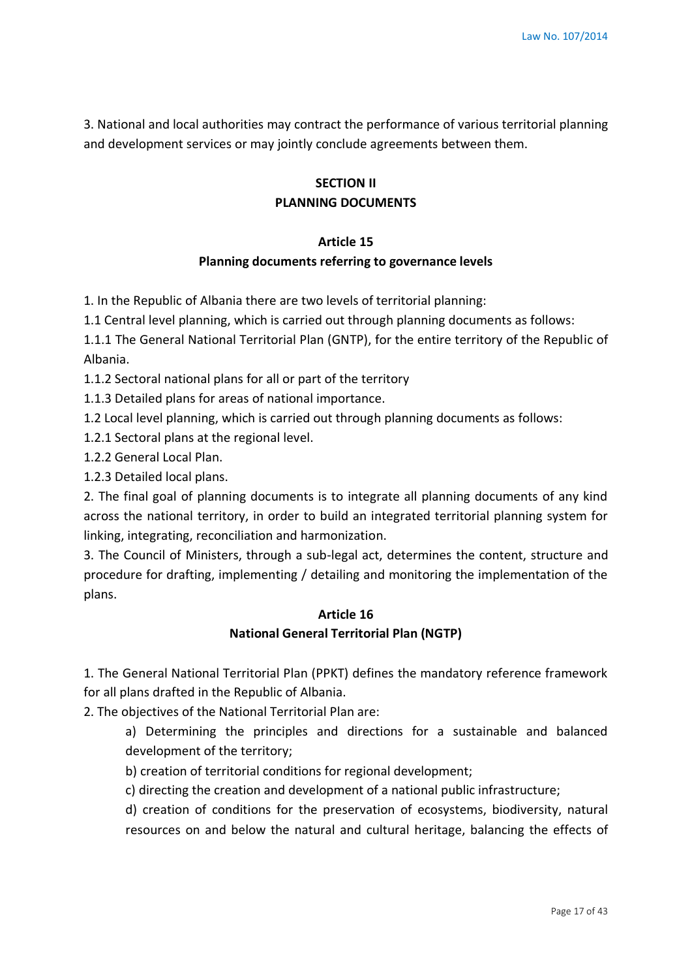3. National and local authorities may contract the performance of various territorial planning and development services or may jointly conclude agreements between them.

# **SECTION II PLANNING DOCUMENTS**

# **Article 15 Planning documents referring to governance levels**

1. In the Republic of Albania there are two levels of territorial planning:

1.1 Central level planning, which is carried out through planning documents as follows:

1.1.1 The General National Territorial Plan (GNTP), for the entire territory of the Republic of Albania.

1.1.2 Sectoral national plans for all or part of the territory

1.1.3 Detailed plans for areas of national importance.

1.2 Local level planning, which is carried out through planning documents as follows:

1.2.1 Sectoral plans at the regional level.

1.2.2 General Local Plan.

1.2.3 Detailed local plans.

2. The final goal of planning documents is to integrate all planning documents of any kind across the national territory, in order to build an integrated territorial planning system for linking, integrating, reconciliation and harmonization.

3. The Council of Ministers, through a sub-legal act, determines the content, structure and procedure for drafting, implementing / detailing and monitoring the implementation of the plans.

### **Article 16 National General Territorial Plan (NGTP)**

1. The General National Territorial Plan (PPKT) defines the mandatory reference framework for all plans drafted in the Republic of Albania.

2. The objectives of the National Territorial Plan are:

a) Determining the principles and directions for a sustainable and balanced development of the territory;

b) creation of territorial conditions for regional development;

c) directing the creation and development of a national public infrastructure;

d) creation of conditions for the preservation of ecosystems, biodiversity, natural resources on and below the natural and cultural heritage, balancing the effects of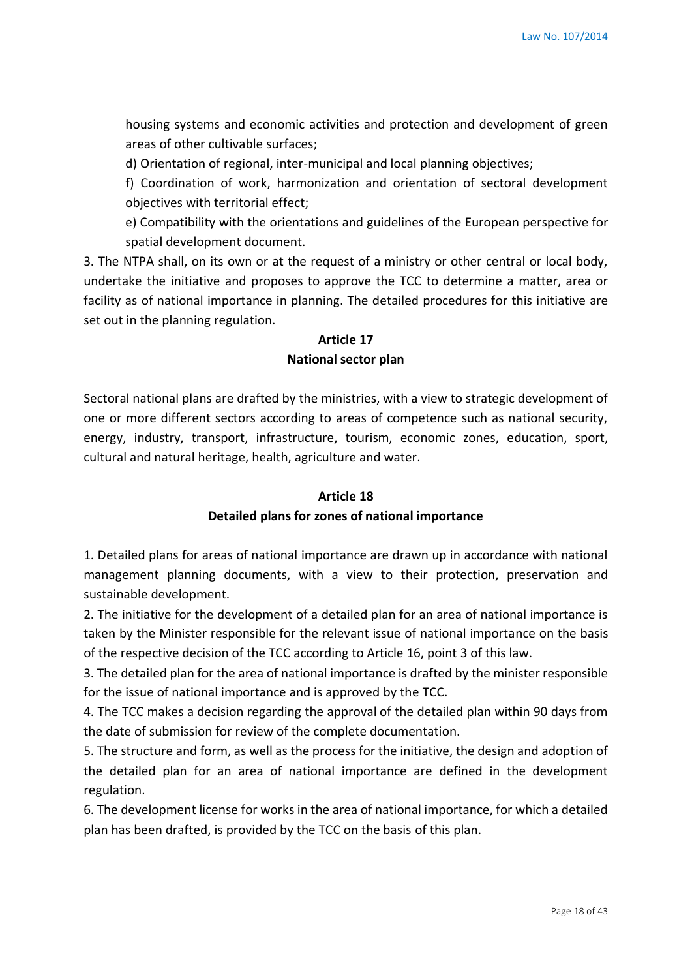housing systems and economic activities and protection and development of green areas of other cultivable surfaces;

d) Orientation of regional, inter-municipal and local planning objectives;

f) Coordination of work, harmonization and orientation of sectoral development objectives with territorial effect;

e) Compatibility with the orientations and guidelines of the European perspective for spatial development document.

3. The NTPA shall, on its own or at the request of a ministry or other central or local body, undertake the initiative and proposes to approve the TCC to determine a matter, area or facility as of national importance in planning. The detailed procedures for this initiative are set out in the planning regulation.

# **Article 17**

### **National sector plan**

Sectoral national plans are drafted by the ministries, with a view to strategic development of one or more different sectors according to areas of competence such as national security, energy, industry, transport, infrastructure, tourism, economic zones, education, sport, cultural and natural heritage, health, agriculture and water.

#### **Article 18**

#### **Detailed plans for zones of national importance**

1. Detailed plans for areas of national importance are drawn up in accordance with national management planning documents, with a view to their protection, preservation and sustainable development.

2. The initiative for the development of a detailed plan for an area of national importance is taken by the Minister responsible for the relevant issue of national importance on the basis of the respective decision of the TCC according to Article 16, point 3 of this law.

3. The detailed plan for the area of national importance is drafted by the minister responsible for the issue of national importance and is approved by the TCC.

4. The TCC makes a decision regarding the approval of the detailed plan within 90 days from the date of submission for review of the complete documentation.

5. The structure and form, as well as the process for the initiative, the design and adoption of the detailed plan for an area of national importance are defined in the development regulation.

6. The development license for works in the area of national importance, for which a detailed plan has been drafted, is provided by the TCC on the basis of this plan.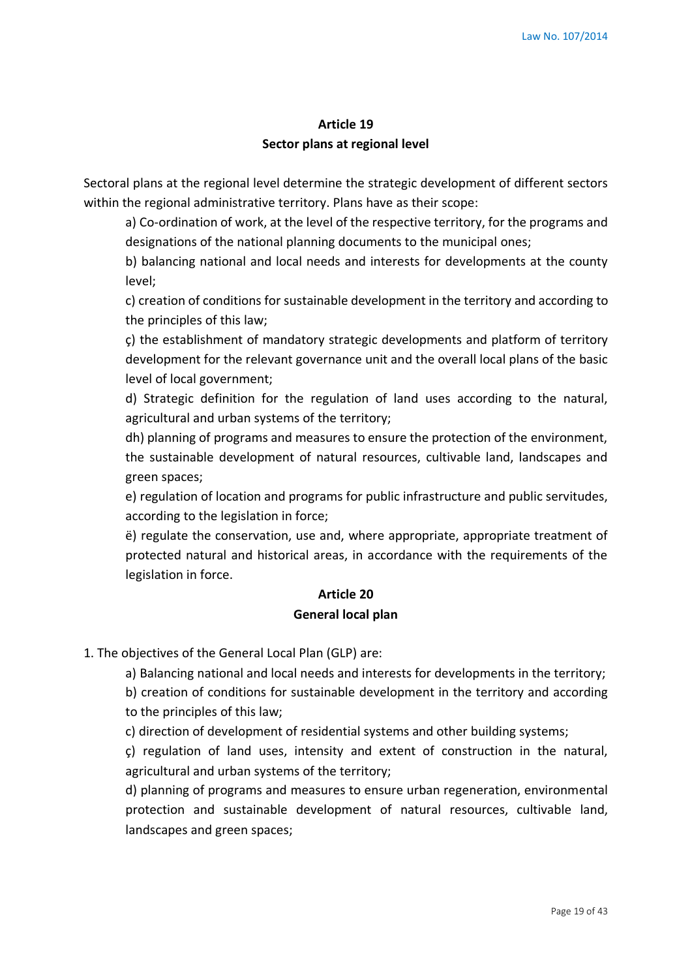# **Article 19 Sector plans at regional level**

Sectoral plans at the regional level determine the strategic development of different sectors within the regional administrative territory. Plans have as their scope:

a) Co-ordination of work, at the level of the respective territory, for the programs and designations of the national planning documents to the municipal ones;

b) balancing national and local needs and interests for developments at the county level;

c) creation of conditions for sustainable development in the territory and according to the principles of this law;

ç) the establishment of mandatory strategic developments and platform of territory development for the relevant governance unit and the overall local plans of the basic level of local government;

d) Strategic definition for the regulation of land uses according to the natural, agricultural and urban systems of the territory;

dh) planning of programs and measures to ensure the protection of the environment, the sustainable development of natural resources, cultivable land, landscapes and green spaces;

e) regulation of location and programs for public infrastructure and public servitudes, according to the legislation in force;

ë) regulate the conservation, use and, where appropriate, appropriate treatment of protected natural and historical areas, in accordance with the requirements of the legislation in force.

# **Article 20 General local plan**

1. The objectives of the General Local Plan (GLP) are:

a) Balancing national and local needs and interests for developments in the territory;

b) creation of conditions for sustainable development in the territory and according to the principles of this law;

c) direction of development of residential systems and other building systems;

ç) regulation of land uses, intensity and extent of construction in the natural, agricultural and urban systems of the territory;

d) planning of programs and measures to ensure urban regeneration, environmental protection and sustainable development of natural resources, cultivable land, landscapes and green spaces;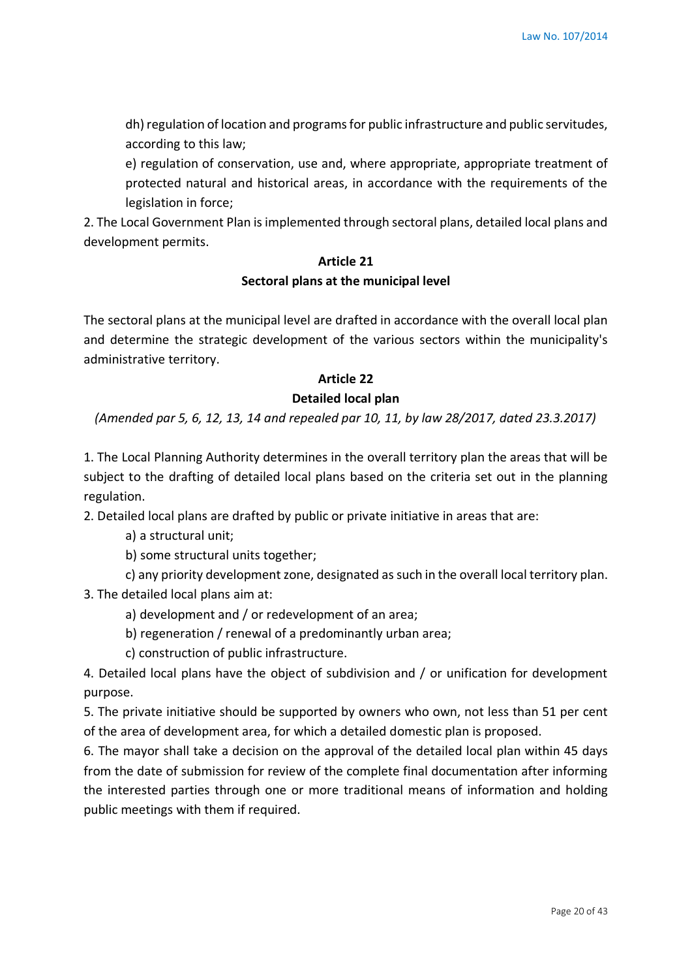dh) regulation of location and programs for public infrastructure and public servitudes, according to this law;

e) regulation of conservation, use and, where appropriate, appropriate treatment of protected natural and historical areas, in accordance with the requirements of the legislation in force;

2. The Local Government Plan is implemented through sectoral plans, detailed local plans and development permits.

# **Article 21**

### **Sectoral plans at the municipal level**

The sectoral plans at the municipal level are drafted in accordance with the overall local plan and determine the strategic development of the various sectors within the municipality's administrative territory.

# **Article 22**

### **Detailed local plan**

*(Amended par 5, 6, 12, 13, 14 and repealed par 10, 11, by law 28/2017, dated 23.3.2017)*

1. The Local Planning Authority determines in the overall territory plan the areas that will be subject to the drafting of detailed local plans based on the criteria set out in the planning regulation.

2. Detailed local plans are drafted by public or private initiative in areas that are:

a) a structural unit;

b) some structural units together;

c) any priority development zone, designated as such in the overall local territory plan.

3. The detailed local plans aim at:

a) development and / or redevelopment of an area;

b) regeneration / renewal of a predominantly urban area;

c) construction of public infrastructure.

4. Detailed local plans have the object of subdivision and / or unification for development purpose.

5. The private initiative should be supported by owners who own, not less than 51 per cent of the area of development area, for which a detailed domestic plan is proposed.

6. The mayor shall take a decision on the approval of the detailed local plan within 45 days from the date of submission for review of the complete final documentation after informing the interested parties through one or more traditional means of information and holding public meetings with them if required.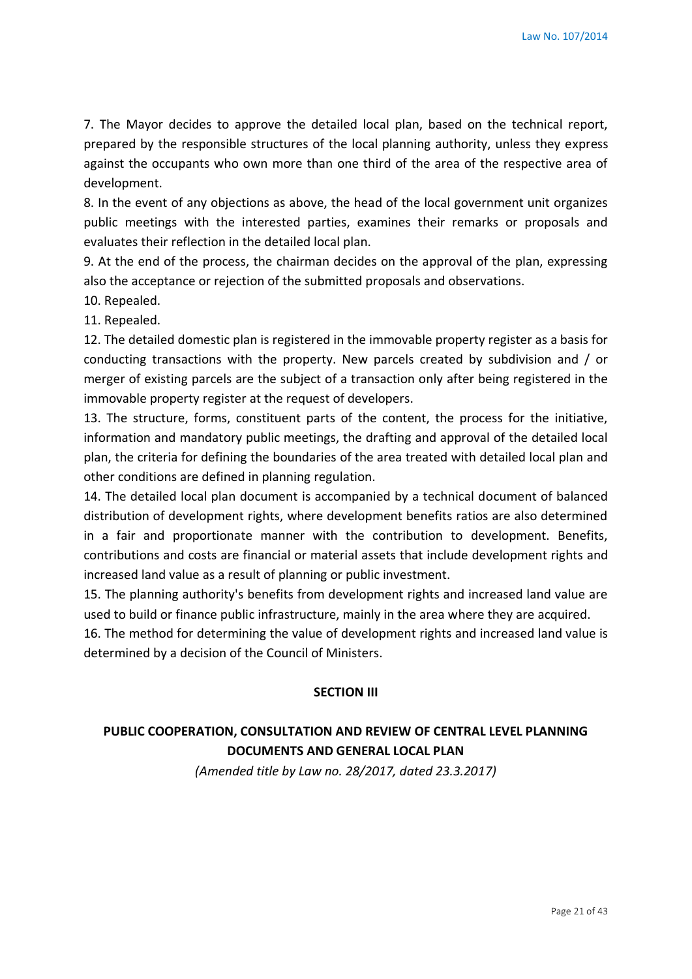7. The Mayor decides to approve the detailed local plan, based on the technical report, prepared by the responsible structures of the local planning authority, unless they express against the occupants who own more than one third of the area of the respective area of development.

8. In the event of any objections as above, the head of the local government unit organizes public meetings with the interested parties, examines their remarks or proposals and evaluates their reflection in the detailed local plan.

9. At the end of the process, the chairman decides on the approval of the plan, expressing also the acceptance or rejection of the submitted proposals and observations.

10. Repealed.

11. Repealed.

12. The detailed domestic plan is registered in the immovable property register as a basis for conducting transactions with the property. New parcels created by subdivision and / or merger of existing parcels are the subject of a transaction only after being registered in the immovable property register at the request of developers.

13. The structure, forms, constituent parts of the content, the process for the initiative, information and mandatory public meetings, the drafting and approval of the detailed local plan, the criteria for defining the boundaries of the area treated with detailed local plan and other conditions are defined in planning regulation.

14. The detailed local plan document is accompanied by a technical document of balanced distribution of development rights, where development benefits ratios are also determined in a fair and proportionate manner with the contribution to development. Benefits, contributions and costs are financial or material assets that include development rights and increased land value as a result of planning or public investment.

15. The planning authority's benefits from development rights and increased land value are used to build or finance public infrastructure, mainly in the area where they are acquired.

16. The method for determining the value of development rights and increased land value is determined by a decision of the Council of Ministers.

#### **SECTION III**

# **PUBLIC COOPERATION, CONSULTATION AND REVIEW OF CENTRAL LEVEL PLANNING DOCUMENTS AND GENERAL LOCAL PLAN**

*(Amended title by Law no. 28/2017, dated 23.3.2017)*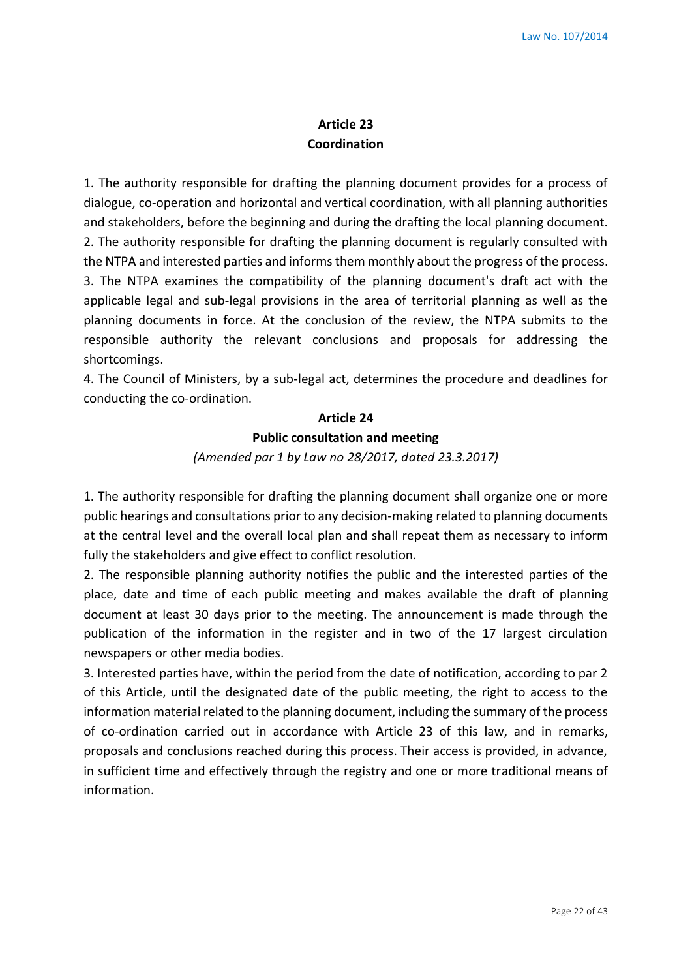# **Article 23 Coordination**

1. The authority responsible for drafting the planning document provides for a process of dialogue, co-operation and horizontal and vertical coordination, with all planning authorities and stakeholders, before the beginning and during the drafting the local planning document. 2. The authority responsible for drafting the planning document is regularly consulted with the NTPA and interested parties and informs them monthly about the progress of the process. 3. The NTPA examines the compatibility of the planning document's draft act with the applicable legal and sub-legal provisions in the area of territorial planning as well as the planning documents in force. At the conclusion of the review, the NTPA submits to the responsible authority the relevant conclusions and proposals for addressing the shortcomings.

4. The Council of Ministers, by a sub-legal act, determines the procedure and deadlines for conducting the co-ordination.

# **Article 24 Public consultation and meeting**

### *(Amended par 1 by Law no 28/2017, dated 23.3.2017)*

1. The authority responsible for drafting the planning document shall organize one or more public hearings and consultations prior to any decision-making related to planning documents at the central level and the overall local plan and shall repeat them as necessary to inform fully the stakeholders and give effect to conflict resolution.

2. The responsible planning authority notifies the public and the interested parties of the place, date and time of each public meeting and makes available the draft of planning document at least 30 days prior to the meeting. The announcement is made through the publication of the information in the register and in two of the 17 largest circulation newspapers or other media bodies.

3. Interested parties have, within the period from the date of notification, according to par 2 of this Article, until the designated date of the public meeting, the right to access to the information material related to the planning document, including the summary of the process of co-ordination carried out in accordance with Article 23 of this law, and in remarks, proposals and conclusions reached during this process. Their access is provided, in advance, in sufficient time and effectively through the registry and one or more traditional means of information.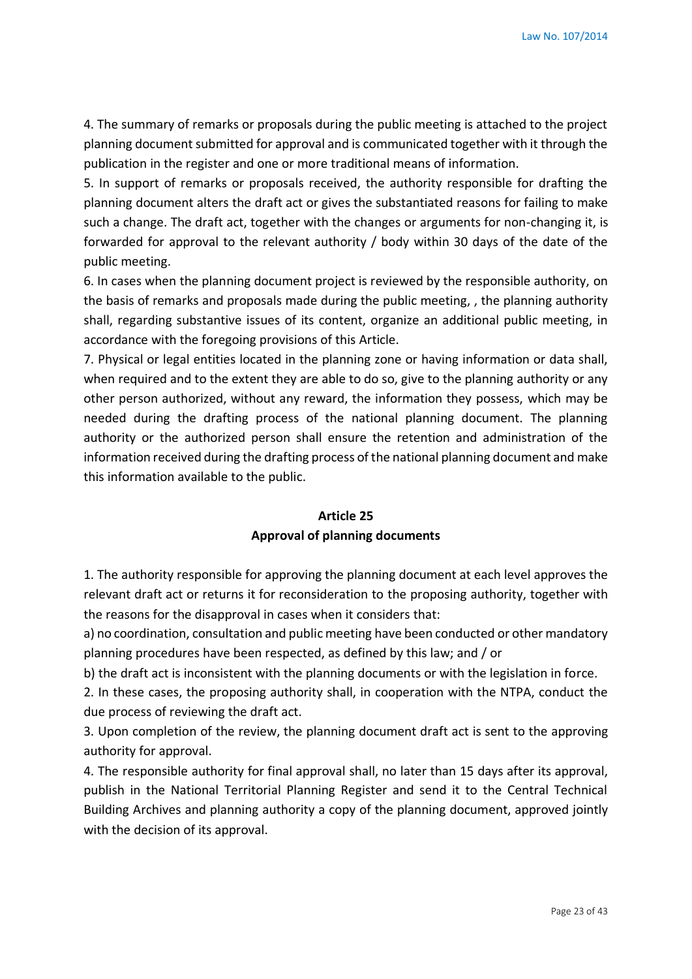4. The summary of remarks or proposals during the public meeting is attached to the project planning document submitted for approval and is communicated together with it through the publication in the register and one or more traditional means of information.

5. In support of remarks or proposals received, the authority responsible for drafting the planning document alters the draft act or gives the substantiated reasons for failing to make such a change. The draft act, together with the changes or arguments for non-changing it, is forwarded for approval to the relevant authority / body within 30 days of the date of the public meeting.

6. In cases when the planning document project is reviewed by the responsible authority, on the basis of remarks and proposals made during the public meeting, , the planning authority shall, regarding substantive issues of its content, organize an additional public meeting, in accordance with the foregoing provisions of this Article.

7. Physical or legal entities located in the planning zone or having information or data shall, when required and to the extent they are able to do so, give to the planning authority or any other person authorized, without any reward, the information they possess, which may be needed during the drafting process of the national planning document. The planning authority or the authorized person shall ensure the retention and administration of the information received during the drafting process of the national planning document and make this information available to the public.

# **Article 25 Approval of planning documents**

1. The authority responsible for approving the planning document at each level approves the relevant draft act or returns it for reconsideration to the proposing authority, together with the reasons for the disapproval in cases when it considers that:

a) no coordination, consultation and public meeting have been conducted or other mandatory planning procedures have been respected, as defined by this law; and / or

b) the draft act is inconsistent with the planning documents or with the legislation in force.

2. In these cases, the proposing authority shall, in cooperation with the NTPA, conduct the due process of reviewing the draft act.

3. Upon completion of the review, the planning document draft act is sent to the approving authority for approval.

4. The responsible authority for final approval shall, no later than 15 days after its approval, publish in the National Territorial Planning Register and send it to the Central Technical Building Archives and planning authority a copy of the planning document, approved jointly with the decision of its approval.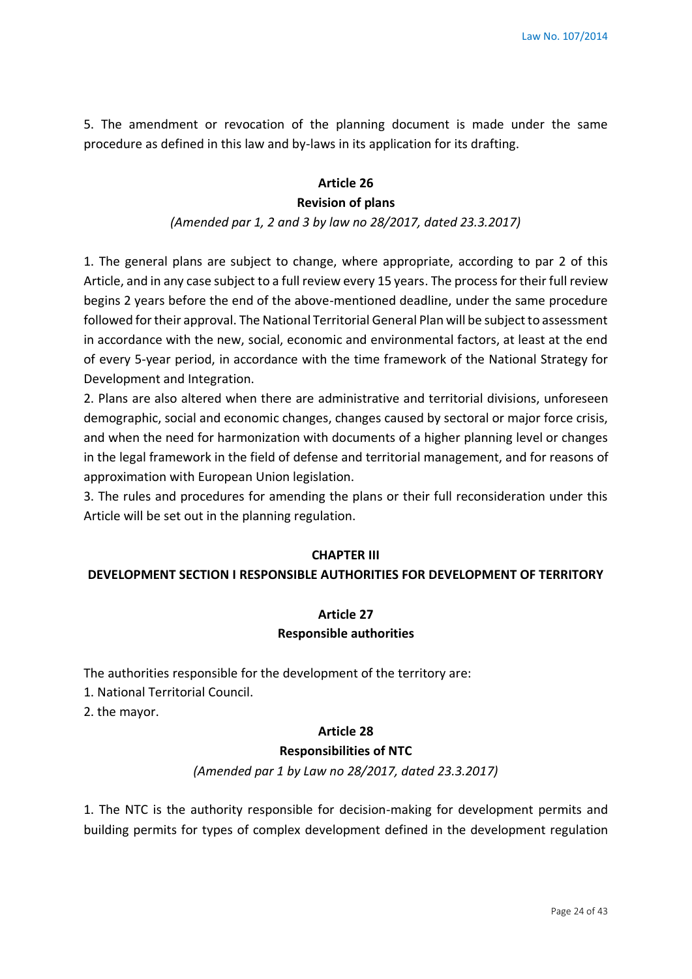5. The amendment or revocation of the planning document is made under the same procedure as defined in this law and by-laws in its application for its drafting.

#### **Article 26**

#### **Revision of plans**

#### *(Amended par 1, 2 and 3 by law no 28/2017, dated 23.3.2017)*

1. The general plans are subject to change, where appropriate, according to par 2 of this Article, and in any case subject to a full review every 15 years. The process for their full review begins 2 years before the end of the above-mentioned deadline, under the same procedure followed for their approval. The National Territorial General Plan will be subject to assessment in accordance with the new, social, economic and environmental factors, at least at the end of every 5-year period, in accordance with the time framework of the National Strategy for Development and Integration.

2. Plans are also altered when there are administrative and territorial divisions, unforeseen demographic, social and economic changes, changes caused by sectoral or major force crisis, and when the need for harmonization with documents of a higher planning level or changes in the legal framework in the field of defense and territorial management, and for reasons of approximation with European Union legislation.

3. The rules and procedures for amending the plans or their full reconsideration under this Article will be set out in the planning regulation.

#### **CHAPTER III**

### **DEVELOPMENT SECTION I RESPONSIBLE AUTHORITIES FOR DEVELOPMENT OF TERRITORY**

### **Article 27 Responsible authorities**

The authorities responsible for the development of the territory are:

1. National Territorial Council.

2. the mayor.

#### **Article 28**

#### **Responsibilities of NTC**

*(Amended par 1 by Law no 28/2017, dated 23.3.2017)*

1. The NTC is the authority responsible for decision-making for development permits and building permits for types of complex development defined in the development regulation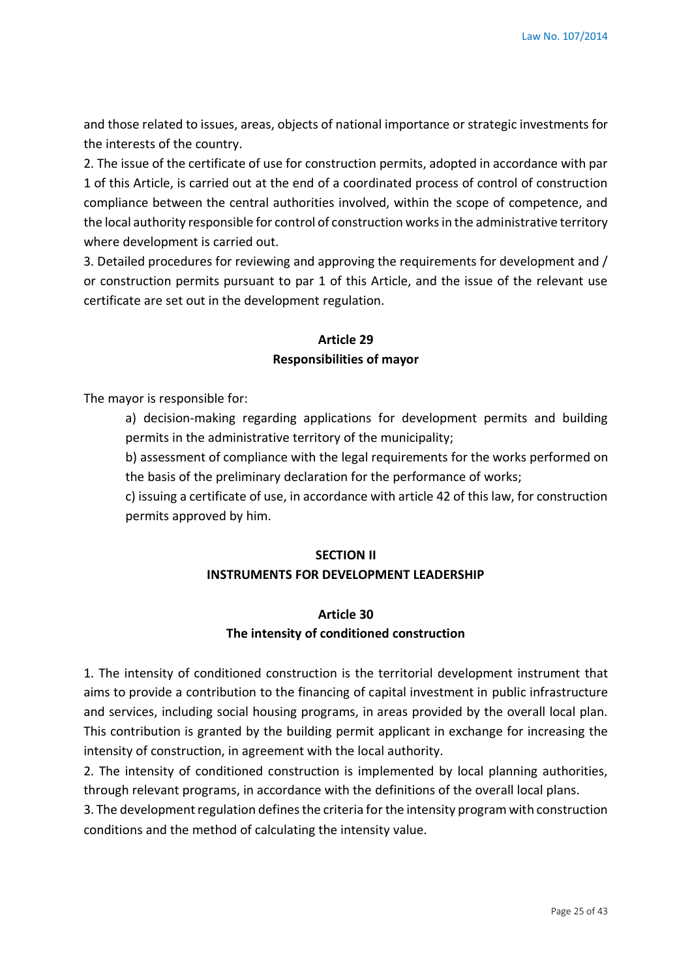and those related to issues, areas, objects of national importance or strategic investments for the interests of the country.

2. The issue of the certificate of use for construction permits, adopted in accordance with par 1 of this Article, is carried out at the end of a coordinated process of control of construction compliance between the central authorities involved, within the scope of competence, and the local authority responsible for control of construction works in the administrative territory where development is carried out.

3. Detailed procedures for reviewing and approving the requirements for development and / or construction permits pursuant to par 1 of this Article, and the issue of the relevant use certificate are set out in the development regulation.

# **Article 29 Responsibilities of mayor**

The mayor is responsible for:

a) decision-making regarding applications for development permits and building permits in the administrative territory of the municipality;

b) assessment of compliance with the legal requirements for the works performed on the basis of the preliminary declaration for the performance of works;

c) issuing a certificate of use, in accordance with article 42 of this law, for construction permits approved by him.

#### **SECTION II**

### **INSTRUMENTS FOR DEVELOPMENT LEADERSHIP**

# **Article 30 The intensity of conditioned construction**

1. The intensity of conditioned construction is the territorial development instrument that aims to provide a contribution to the financing of capital investment in public infrastructure and services, including social housing programs, in areas provided by the overall local plan. This contribution is granted by the building permit applicant in exchange for increasing the intensity of construction, in agreement with the local authority.

2. The intensity of conditioned construction is implemented by local planning authorities, through relevant programs, in accordance with the definitions of the overall local plans.

3. The development regulation defines the criteria for the intensity program with construction conditions and the method of calculating the intensity value.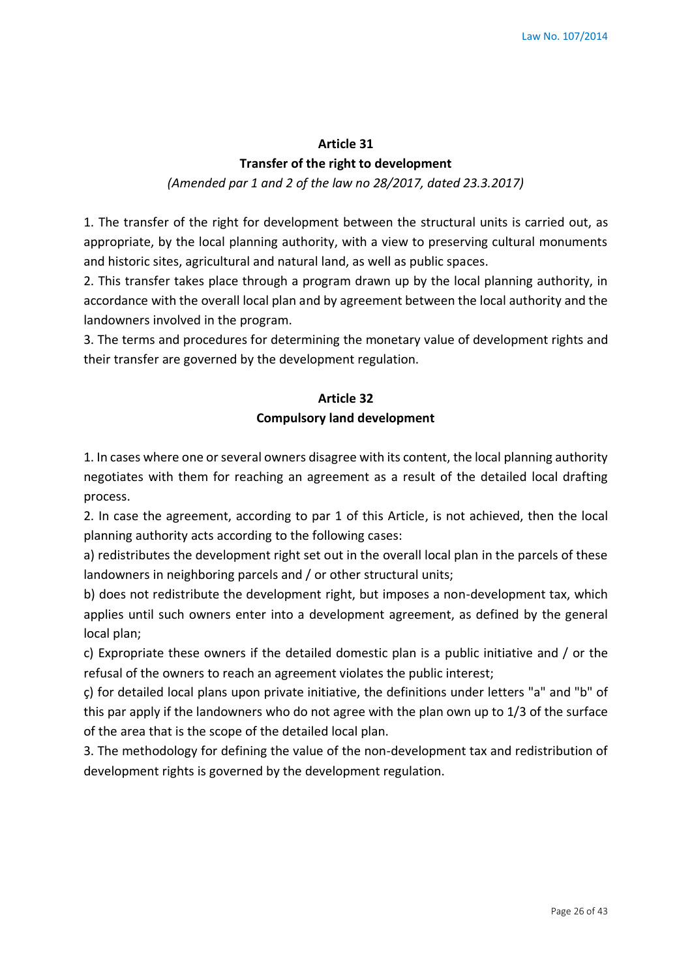#### **Article 31**

#### **Transfer of the right to development**

#### *(Amended par 1 and 2 of the law no 28/2017, dated 23.3.2017)*

1. The transfer of the right for development between the structural units is carried out, as appropriate, by the local planning authority, with a view to preserving cultural monuments and historic sites, agricultural and natural land, as well as public spaces.

2. This transfer takes place through a program drawn up by the local planning authority, in accordance with the overall local plan and by agreement between the local authority and the landowners involved in the program.

3. The terms and procedures for determining the monetary value of development rights and their transfer are governed by the development regulation.

# **Article 32 Compulsory land development**

1. In cases where one or several owners disagree with its content, the local planning authority negotiates with them for reaching an agreement as a result of the detailed local drafting process.

2. In case the agreement, according to par 1 of this Article, is not achieved, then the local planning authority acts according to the following cases:

a) redistributes the development right set out in the overall local plan in the parcels of these landowners in neighboring parcels and / or other structural units;

b) does not redistribute the development right, but imposes a non-development tax, which applies until such owners enter into a development agreement, as defined by the general local plan;

c) Expropriate these owners if the detailed domestic plan is a public initiative and / or the refusal of the owners to reach an agreement violates the public interest;

ç) for detailed local plans upon private initiative, the definitions under letters "a" and "b" of this par apply if the landowners who do not agree with the plan own up to 1/3 of the surface of the area that is the scope of the detailed local plan.

3. The methodology for defining the value of the non-development tax and redistribution of development rights is governed by the development regulation.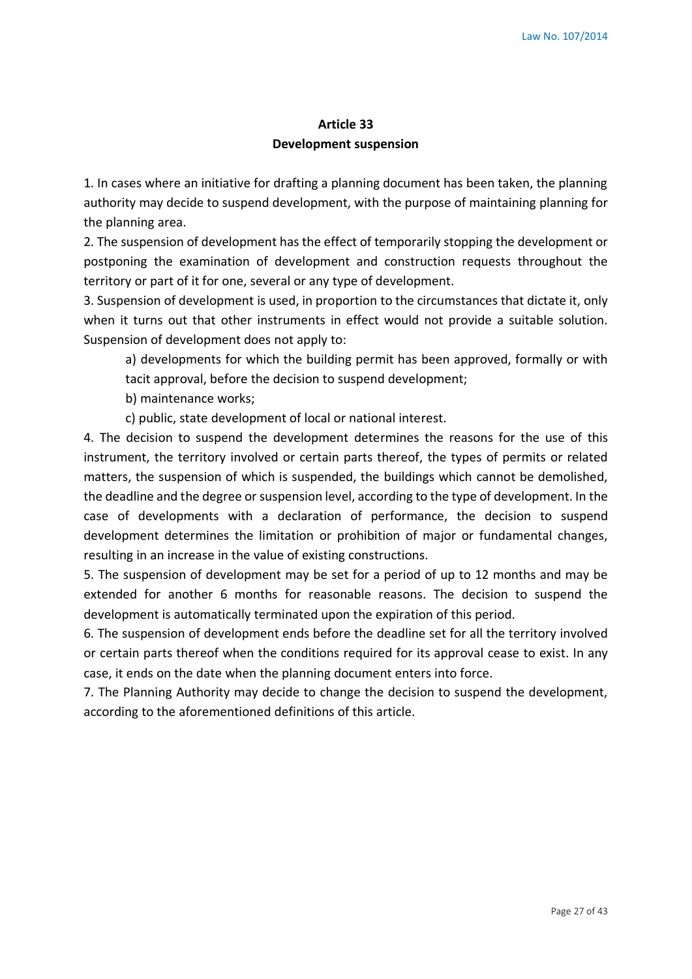# **Article 33 Development suspension**

1. In cases where an initiative for drafting a planning document has been taken, the planning authority may decide to suspend development, with the purpose of maintaining planning for the planning area.

2. The suspension of development has the effect of temporarily stopping the development or postponing the examination of development and construction requests throughout the territory or part of it for one, several or any type of development.

3. Suspension of development is used, in proportion to the circumstances that dictate it, only when it turns out that other instruments in effect would not provide a suitable solution. Suspension of development does not apply to:

a) developments for which the building permit has been approved, formally or with tacit approval, before the decision to suspend development;

b) maintenance works;

c) public, state development of local or national interest.

4. The decision to suspend the development determines the reasons for the use of this instrument, the territory involved or certain parts thereof, the types of permits or related matters, the suspension of which is suspended, the buildings which cannot be demolished, the deadline and the degree or suspension level, according to the type of development. In the case of developments with a declaration of performance, the decision to suspend development determines the limitation or prohibition of major or fundamental changes, resulting in an increase in the value of existing constructions.

5. The suspension of development may be set for a period of up to 12 months and may be extended for another 6 months for reasonable reasons. The decision to suspend the development is automatically terminated upon the expiration of this period.

6. The suspension of development ends before the deadline set for all the territory involved or certain parts thereof when the conditions required for its approval cease to exist. In any case, it ends on the date when the planning document enters into force.

7. The Planning Authority may decide to change the decision to suspend the development, according to the aforementioned definitions of this article.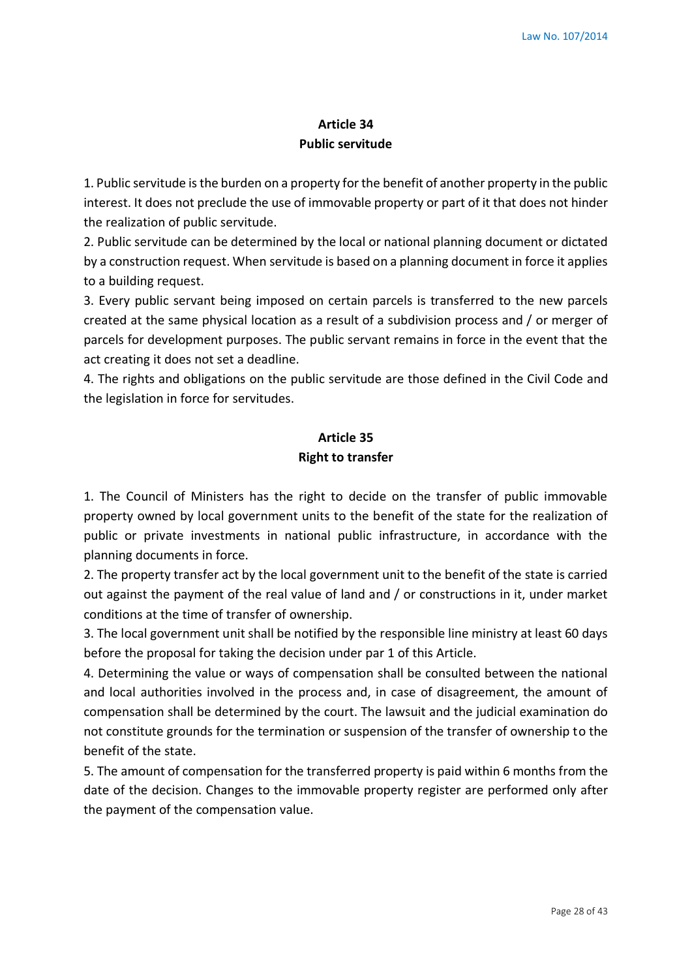# **Article 34 Public servitude**

1. Public servitude is the burden on a property for the benefit of another property in the public interest. It does not preclude the use of immovable property or part of it that does not hinder the realization of public servitude.

2. Public servitude can be determined by the local or national planning document or dictated by a construction request. When servitude is based on a planning document in force it applies to a building request.

3. Every public servant being imposed on certain parcels is transferred to the new parcels created at the same physical location as a result of a subdivision process and / or merger of parcels for development purposes. The public servant remains in force in the event that the act creating it does not set a deadline.

4. The rights and obligations on the public servitude are those defined in the Civil Code and the legislation in force for servitudes.

# **Article 35 Right to transfer**

1. The Council of Ministers has the right to decide on the transfer of public immovable property owned by local government units to the benefit of the state for the realization of public or private investments in national public infrastructure, in accordance with the planning documents in force.

2. The property transfer act by the local government unit to the benefit of the state is carried out against the payment of the real value of land and / or constructions in it, under market conditions at the time of transfer of ownership.

3. The local government unit shall be notified by the responsible line ministry at least 60 days before the proposal for taking the decision under par 1 of this Article.

4. Determining the value or ways of compensation shall be consulted between the national and local authorities involved in the process and, in case of disagreement, the amount of compensation shall be determined by the court. The lawsuit and the judicial examination do not constitute grounds for the termination or suspension of the transfer of ownership to the benefit of the state.

5. The amount of compensation for the transferred property is paid within 6 months from the date of the decision. Changes to the immovable property register are performed only after the payment of the compensation value.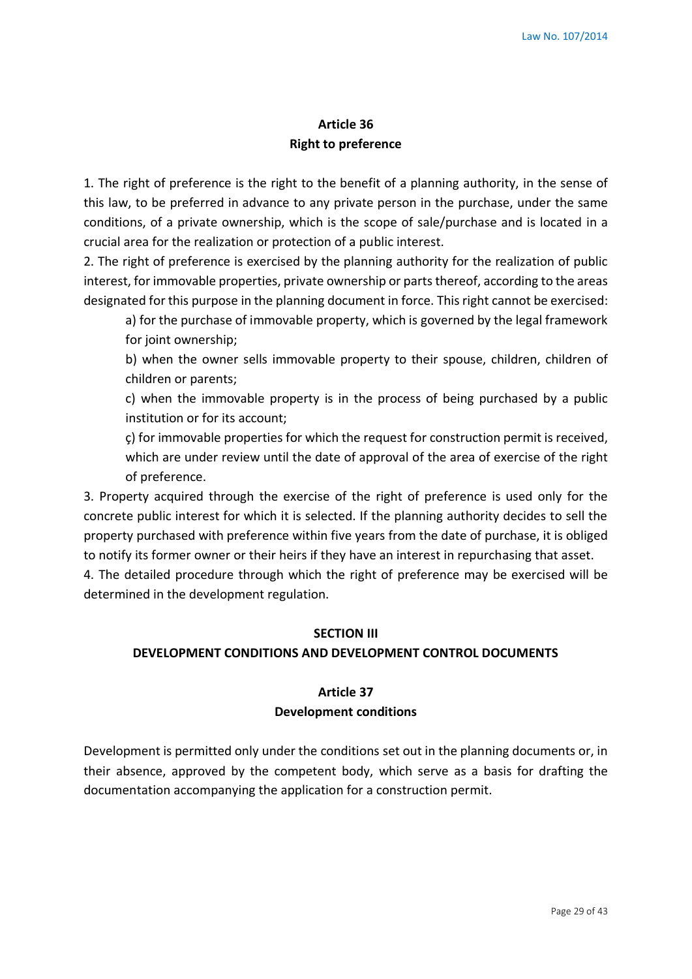# **Article 36 Right to preference**

1. The right of preference is the right to the benefit of a planning authority, in the sense of this law, to be preferred in advance to any private person in the purchase, under the same conditions, of a private ownership, which is the scope of sale/purchase and is located in a crucial area for the realization or protection of a public interest.

2. The right of preference is exercised by the planning authority for the realization of public interest, for immovable properties, private ownership or parts thereof, according to the areas designated for this purpose in the planning document in force. This right cannot be exercised:

a) for the purchase of immovable property, which is governed by the legal framework for joint ownership;

b) when the owner sells immovable property to their spouse, children, children of children or parents;

c) when the immovable property is in the process of being purchased by a public institution or for its account;

ç) for immovable properties for which the request for construction permit is received, which are under review until the date of approval of the area of exercise of the right of preference.

3. Property acquired through the exercise of the right of preference is used only for the concrete public interest for which it is selected. If the planning authority decides to sell the property purchased with preference within five years from the date of purchase, it is obliged to notify its former owner or their heirs if they have an interest in repurchasing that asset.

4. The detailed procedure through which the right of preference may be exercised will be determined in the development regulation.

# **SECTION III**

# **DEVELOPMENT CONDITIONS AND DEVELOPMENT CONTROL DOCUMENTS**

# **Article 37 Development conditions**

Development is permitted only under the conditions set out in the planning documents or, in their absence, approved by the competent body, which serve as a basis for drafting the documentation accompanying the application for a construction permit.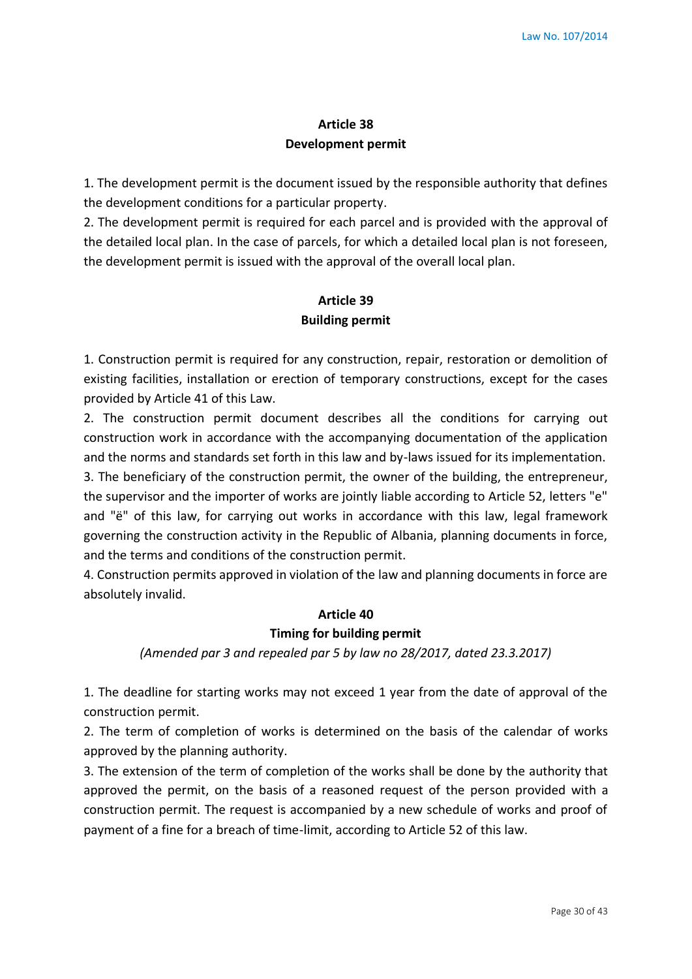# **Article 38 Development permit**

1. The development permit is the document issued by the responsible authority that defines the development conditions for a particular property.

2. The development permit is required for each parcel and is provided with the approval of the detailed local plan. In the case of parcels, for which a detailed local plan is not foreseen, the development permit is issued with the approval of the overall local plan.

# **Article 39 Building permit**

1. Construction permit is required for any construction, repair, restoration or demolition of existing facilities, installation or erection of temporary constructions, except for the cases provided by Article 41 of this Law.

2. The construction permit document describes all the conditions for carrying out construction work in accordance with the accompanying documentation of the application and the norms and standards set forth in this law and by-laws issued for its implementation.

3. The beneficiary of the construction permit, the owner of the building, the entrepreneur, the supervisor and the importer of works are jointly liable according to Article 52, letters "e" and "ë" of this law, for carrying out works in accordance with this law, legal framework governing the construction activity in the Republic of Albania, planning documents in force, and the terms and conditions of the construction permit.

4. Construction permits approved in violation of the law and planning documents in force are absolutely invalid.

# **Article 40**

# **Timing for building permit**

*(Amended par 3 and repealed par 5 by law no 28/2017, dated 23.3.2017)*

1. The deadline for starting works may not exceed 1 year from the date of approval of the construction permit.

2. The term of completion of works is determined on the basis of the calendar of works approved by the planning authority.

3. The extension of the term of completion of the works shall be done by the authority that approved the permit, on the basis of a reasoned request of the person provided with a construction permit. The request is accompanied by a new schedule of works and proof of payment of a fine for a breach of time-limit, according to Article 52 of this law.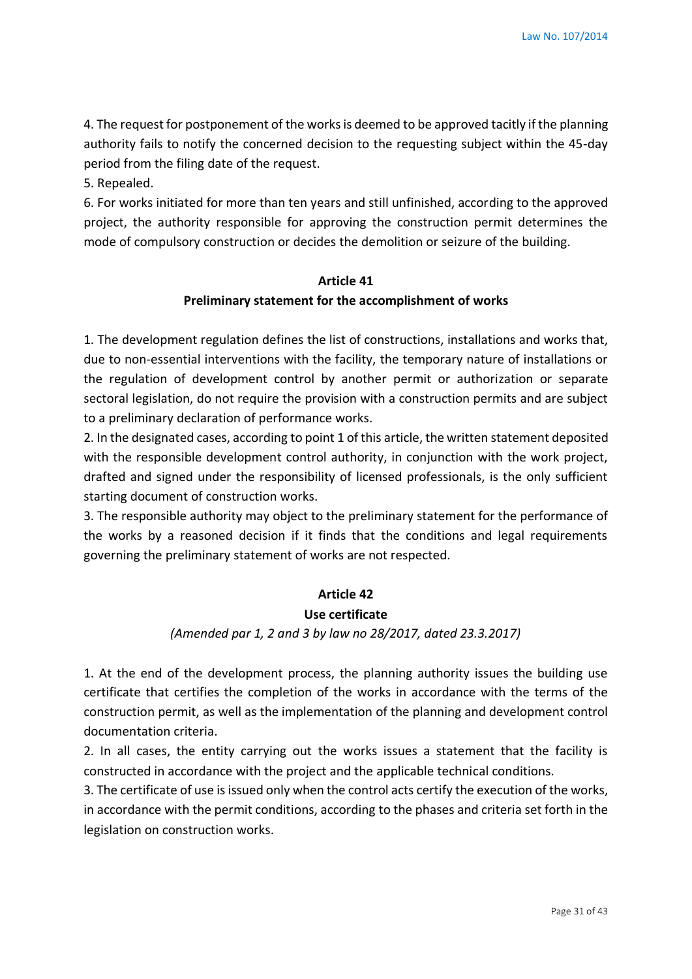4. The request for postponement of the works is deemed to be approved tacitly if the planning authority fails to notify the concerned decision to the requesting subject within the 45-day period from the filing date of the request.

5. Repealed.

6. For works initiated for more than ten years and still unfinished, according to the approved project, the authority responsible for approving the construction permit determines the mode of compulsory construction or decides the demolition or seizure of the building.

#### **Article 41**

#### **Preliminary statement for the accomplishment of works**

1. The development regulation defines the list of constructions, installations and works that, due to non-essential interventions with the facility, the temporary nature of installations or the regulation of development control by another permit or authorization or separate sectoral legislation, do not require the provision with a construction permits and are subject to a preliminary declaration of performance works.

2. In the designated cases, according to point 1 of this article, the written statement deposited with the responsible development control authority, in conjunction with the work project, drafted and signed under the responsibility of licensed professionals, is the only sufficient starting document of construction works.

3. The responsible authority may object to the preliminary statement for the performance of the works by a reasoned decision if it finds that the conditions and legal requirements governing the preliminary statement of works are not respected.

#### **Article 42**

#### **Use certificate**

### *(Amended par 1, 2 and 3 by law no 28/2017, dated 23.3.2017)*

1. At the end of the development process, the planning authority issues the building use certificate that certifies the completion of the works in accordance with the terms of the construction permit, as well as the implementation of the planning and development control documentation criteria.

2. In all cases, the entity carrying out the works issues a statement that the facility is constructed in accordance with the project and the applicable technical conditions.

3. The certificate of use is issued only when the control acts certify the execution of the works, in accordance with the permit conditions, according to the phases and criteria set forth in the legislation on construction works.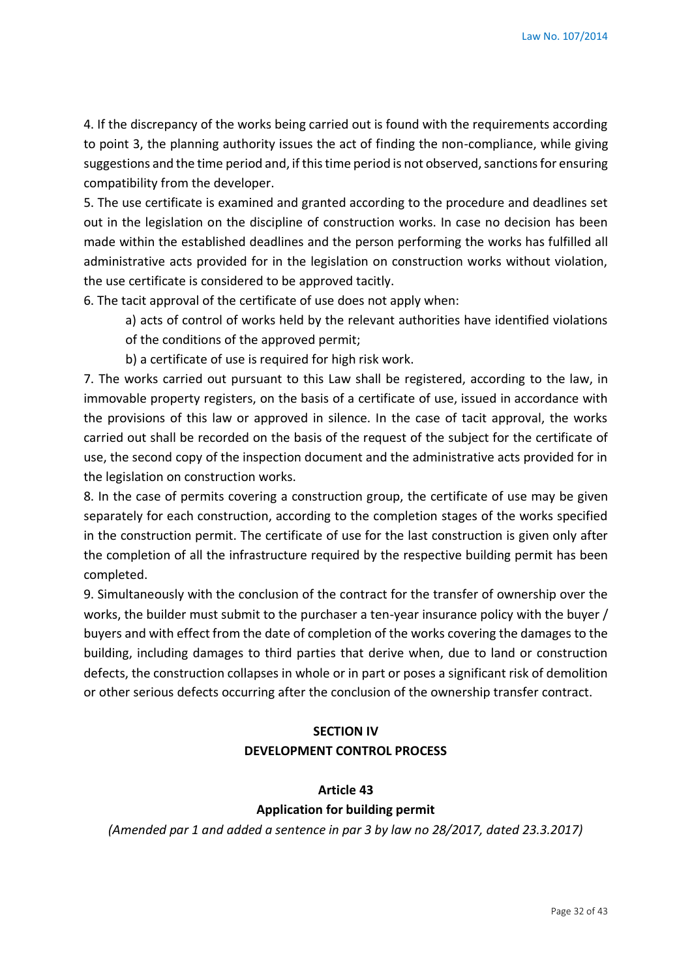4. If the discrepancy of the works being carried out is found with the requirements according to point 3, the planning authority issues the act of finding the non-compliance, while giving suggestions and the time period and, if this time period is not observed, sanctions for ensuring compatibility from the developer.

5. The use certificate is examined and granted according to the procedure and deadlines set out in the legislation on the discipline of construction works. In case no decision has been made within the established deadlines and the person performing the works has fulfilled all administrative acts provided for in the legislation on construction works without violation, the use certificate is considered to be approved tacitly.

6. The tacit approval of the certificate of use does not apply when:

- a) acts of control of works held by the relevant authorities have identified violations of the conditions of the approved permit;
- b) a certificate of use is required for high risk work.

7. The works carried out pursuant to this Law shall be registered, according to the law, in immovable property registers, on the basis of a certificate of use, issued in accordance with the provisions of this law or approved in silence. In the case of tacit approval, the works carried out shall be recorded on the basis of the request of the subject for the certificate of use, the second copy of the inspection document and the administrative acts provided for in the legislation on construction works.

8. In the case of permits covering a construction group, the certificate of use may be given separately for each construction, according to the completion stages of the works specified in the construction permit. The certificate of use for the last construction is given only after the completion of all the infrastructure required by the respective building permit has been completed.

9. Simultaneously with the conclusion of the contract for the transfer of ownership over the works, the builder must submit to the purchaser a ten-year insurance policy with the buyer / buyers and with effect from the date of completion of the works covering the damages to the building, including damages to third parties that derive when, due to land or construction defects, the construction collapses in whole or in part or poses a significant risk of demolition or other serious defects occurring after the conclusion of the ownership transfer contract.

# **SECTION IV DEVELOPMENT CONTROL PROCESS**

# **Article 43 Application for building permit**

*(Amended par 1 and added a sentence in par 3 by law no 28/2017, dated 23.3.2017)*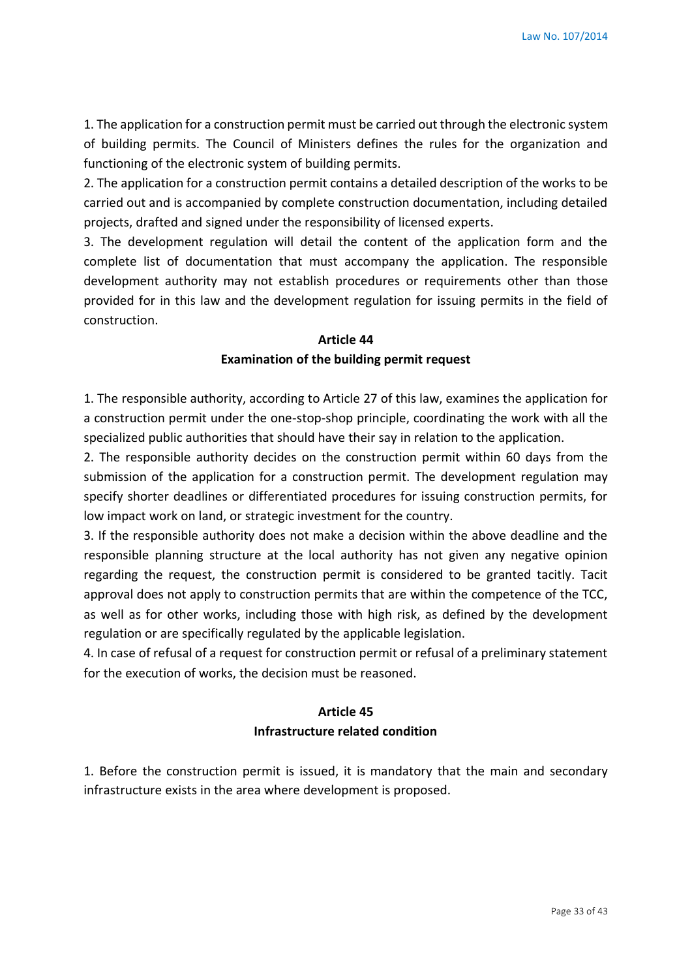1. The application for a construction permit must be carried out through the electronic system of building permits. The Council of Ministers defines the rules for the organization and functioning of the electronic system of building permits.

2. The application for a construction permit contains a detailed description of the works to be carried out and is accompanied by complete construction documentation, including detailed projects, drafted and signed under the responsibility of licensed experts.

3. The development regulation will detail the content of the application form and the complete list of documentation that must accompany the application. The responsible development authority may not establish procedures or requirements other than those provided for in this law and the development regulation for issuing permits in the field of construction.

#### **Article 44**

#### **Examination of the building permit request**

1. The responsible authority, according to Article 27 of this law, examines the application for a construction permit under the one-stop-shop principle, coordinating the work with all the specialized public authorities that should have their say in relation to the application.

2. The responsible authority decides on the construction permit within 60 days from the submission of the application for a construction permit. The development regulation may specify shorter deadlines or differentiated procedures for issuing construction permits, for low impact work on land, or strategic investment for the country.

3. If the responsible authority does not make a decision within the above deadline and the responsible planning structure at the local authority has not given any negative opinion regarding the request, the construction permit is considered to be granted tacitly. Tacit approval does not apply to construction permits that are within the competence of the TCC, as well as for other works, including those with high risk, as defined by the development regulation or are specifically regulated by the applicable legislation.

4. In case of refusal of a request for construction permit or refusal of a preliminary statement for the execution of works, the decision must be reasoned.

# **Article 45 Infrastructure related condition**

1. Before the construction permit is issued, it is mandatory that the main and secondary infrastructure exists in the area where development is proposed.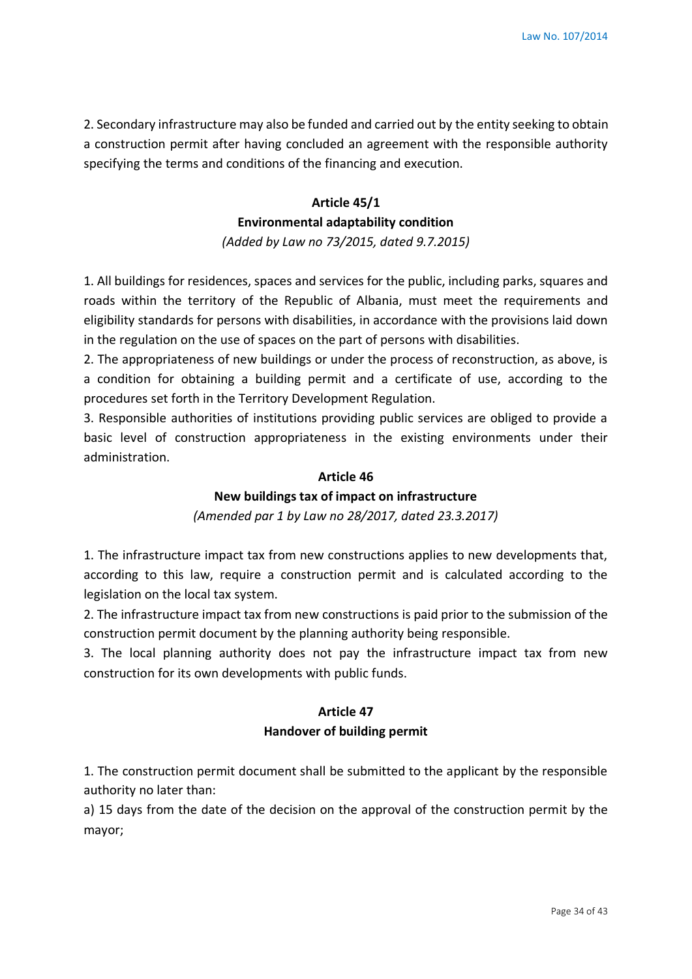2. Secondary infrastructure may also be funded and carried out by the entity seeking to obtain a construction permit after having concluded an agreement with the responsible authority specifying the terms and conditions of the financing and execution.

# **Article 45/1 Environmental adaptability condition**

*(Added by Law no 73/2015, dated 9.7.2015)*

1. All buildings for residences, spaces and services for the public, including parks, squares and roads within the territory of the Republic of Albania, must meet the requirements and eligibility standards for persons with disabilities, in accordance with the provisions laid down in the regulation on the use of spaces on the part of persons with disabilities.

2. The appropriateness of new buildings or under the process of reconstruction, as above, is a condition for obtaining a building permit and a certificate of use, according to the procedures set forth in the Territory Development Regulation.

3. Responsible authorities of institutions providing public services are obliged to provide a basic level of construction appropriateness in the existing environments under their administration.

### **Article 46**

### **New buildings tax of impact on infrastructure**

*(Amended par 1 by Law no 28/2017, dated 23.3.2017)*

1. The infrastructure impact tax from new constructions applies to new developments that, according to this law, require a construction permit and is calculated according to the legislation on the local tax system.

2. The infrastructure impact tax from new constructions is paid prior to the submission of the construction permit document by the planning authority being responsible.

3. The local planning authority does not pay the infrastructure impact tax from new construction for its own developments with public funds.

# **Article 47 Handover of building permit**

1. The construction permit document shall be submitted to the applicant by the responsible authority no later than:

a) 15 days from the date of the decision on the approval of the construction permit by the mayor;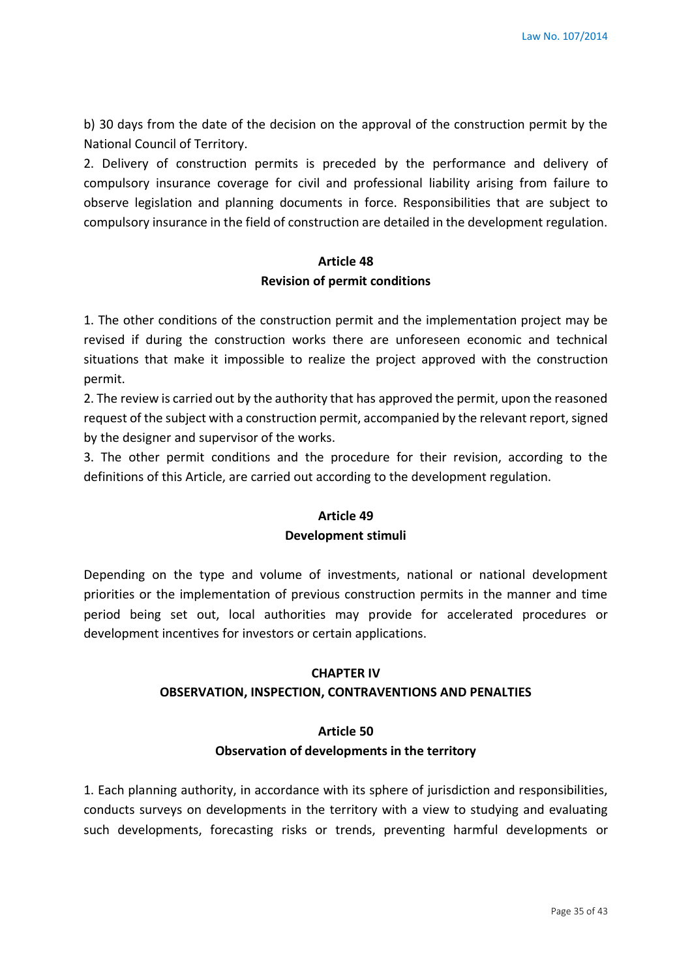b) 30 days from the date of the decision on the approval of the construction permit by the National Council of Territory.

2. Delivery of construction permits is preceded by the performance and delivery of compulsory insurance coverage for civil and professional liability arising from failure to observe legislation and planning documents in force. Responsibilities that are subject to compulsory insurance in the field of construction are detailed in the development regulation.

# **Article 48 Revision of permit conditions**

1. The other conditions of the construction permit and the implementation project may be revised if during the construction works there are unforeseen economic and technical situations that make it impossible to realize the project approved with the construction permit.

2. The review is carried out by the authority that has approved the permit, upon the reasoned request of the subject with a construction permit, accompanied by the relevant report, signed by the designer and supervisor of the works.

3. The other permit conditions and the procedure for their revision, according to the definitions of this Article, are carried out according to the development regulation.

# **Article 49 Development stimuli**

Depending on the type and volume of investments, national or national development priorities or the implementation of previous construction permits in the manner and time period being set out, local authorities may provide for accelerated procedures or development incentives for investors or certain applications.

# **CHAPTER IV**

# **OBSERVATION, INSPECTION, CONTRAVENTIONS AND PENALTIES**

### **Article 50**

### **Observation of developments in the territory**

1. Each planning authority, in accordance with its sphere of jurisdiction and responsibilities, conducts surveys on developments in the territory with a view to studying and evaluating such developments, forecasting risks or trends, preventing harmful developments or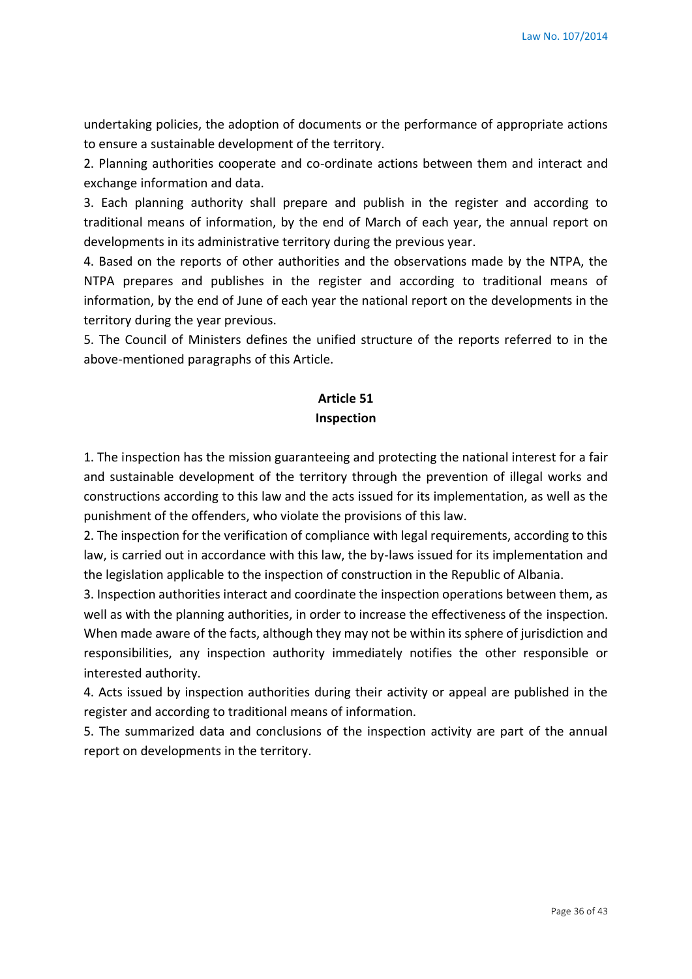undertaking policies, the adoption of documents or the performance of appropriate actions to ensure a sustainable development of the territory.

2. Planning authorities cooperate and co-ordinate actions between them and interact and exchange information and data.

3. Each planning authority shall prepare and publish in the register and according to traditional means of information, by the end of March of each year, the annual report on developments in its administrative territory during the previous year.

4. Based on the reports of other authorities and the observations made by the NTPA, the NTPA prepares and publishes in the register and according to traditional means of information, by the end of June of each year the national report on the developments in the territory during the year previous.

5. The Council of Ministers defines the unified structure of the reports referred to in the above-mentioned paragraphs of this Article.

# **Article 51 Inspection**

1. The inspection has the mission guaranteeing and protecting the national interest for a fair and sustainable development of the territory through the prevention of illegal works and constructions according to this law and the acts issued for its implementation, as well as the punishment of the offenders, who violate the provisions of this law.

2. The inspection for the verification of compliance with legal requirements, according to this law, is carried out in accordance with this law, the by-laws issued for its implementation and the legislation applicable to the inspection of construction in the Republic of Albania.

3. Inspection authorities interact and coordinate the inspection operations between them, as well as with the planning authorities, in order to increase the effectiveness of the inspection. When made aware of the facts, although they may not be within its sphere of jurisdiction and responsibilities, any inspection authority immediately notifies the other responsible or interested authority.

4. Acts issued by inspection authorities during their activity or appeal are published in the register and according to traditional means of information.

5. The summarized data and conclusions of the inspection activity are part of the annual report on developments in the territory.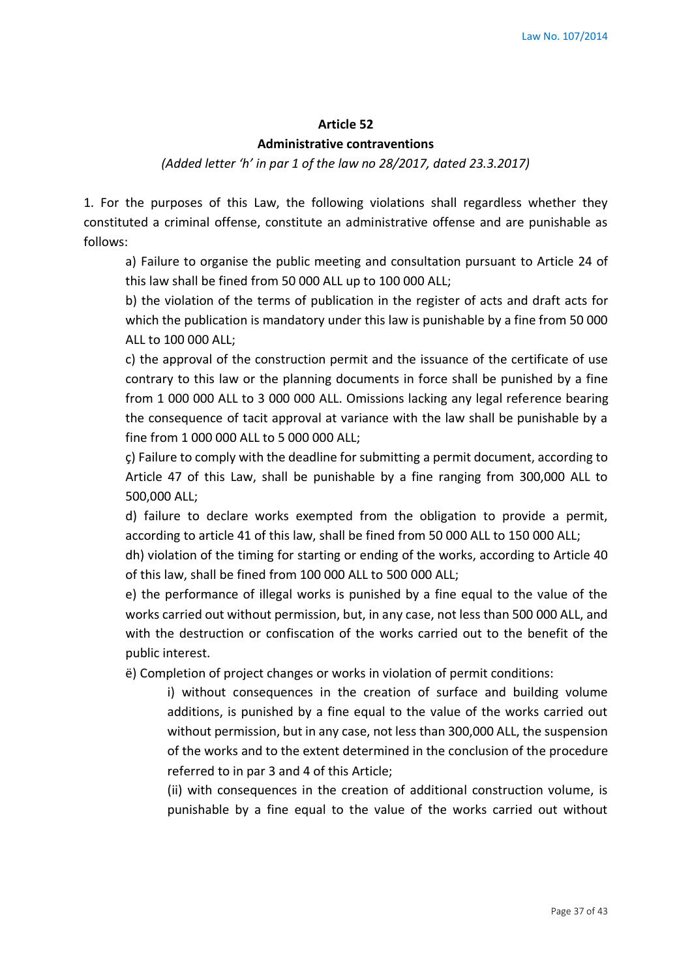#### **Article 52**

#### **Administrative contraventions**

*(Added letter 'h' in par 1 of the law no 28/2017, dated 23.3.2017)*

1. For the purposes of this Law, the following violations shall regardless whether they constituted a criminal offense, constitute an administrative offense and are punishable as follows:

a) Failure to organise the public meeting and consultation pursuant to Article 24 of this law shall be fined from 50 000 ALL up to 100 000 ALL;

b) the violation of the terms of publication in the register of acts and draft acts for which the publication is mandatory under this law is punishable by a fine from 50 000 ALL to 100 000 ALL;

c) the approval of the construction permit and the issuance of the certificate of use contrary to this law or the planning documents in force shall be punished by a fine from 1 000 000 ALL to 3 000 000 ALL. Omissions lacking any legal reference bearing the consequence of tacit approval at variance with the law shall be punishable by a fine from 1 000 000 ALL to 5 000 000 ALL;

ç) Failure to comply with the deadline for submitting a permit document, according to Article 47 of this Law, shall be punishable by a fine ranging from 300,000 ALL to 500,000 ALL;

d) failure to declare works exempted from the obligation to provide a permit, according to article 41 of this law, shall be fined from 50 000 ALL to 150 000 ALL;

dh) violation of the timing for starting or ending of the works, according to Article 40 of this law, shall be fined from 100 000 ALL to 500 000 ALL;

e) the performance of illegal works is punished by a fine equal to the value of the works carried out without permission, but, in any case, not less than 500 000 ALL, and with the destruction or confiscation of the works carried out to the benefit of the public interest.

ë) Completion of project changes or works in violation of permit conditions:

i) without consequences in the creation of surface and building volume additions, is punished by a fine equal to the value of the works carried out without permission, but in any case, not less than 300,000 ALL, the suspension of the works and to the extent determined in the conclusion of the procedure referred to in par 3 and 4 of this Article;

(ii) with consequences in the creation of additional construction volume, is punishable by a fine equal to the value of the works carried out without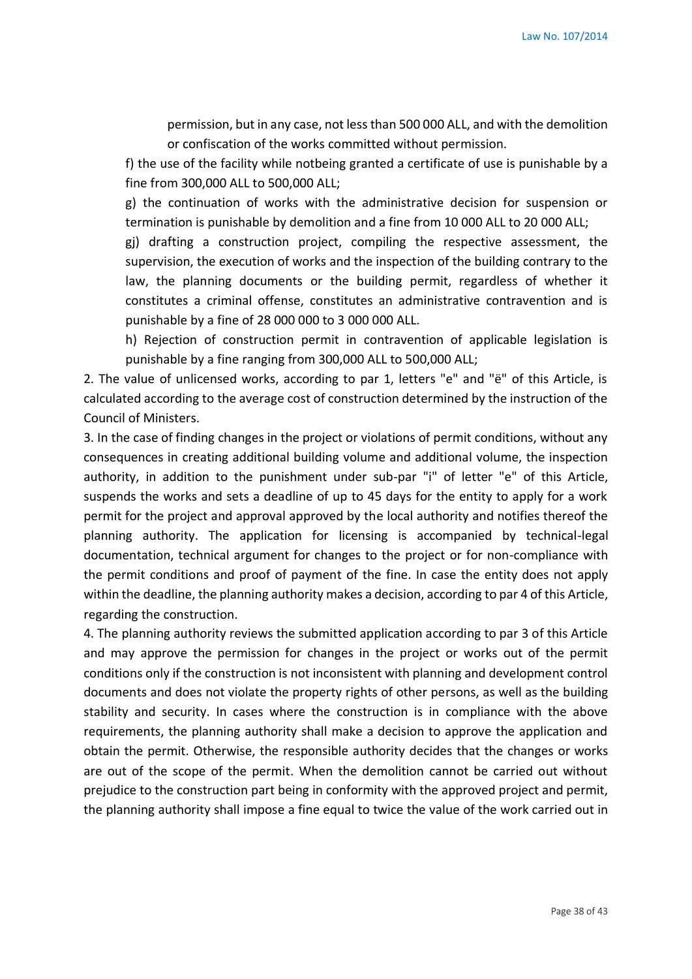permission, but in any case, not less than 500 000 ALL, and with the demolition or confiscation of the works committed without permission.

f) the use of the facility while notbeing granted a certificate of use is punishable by a fine from 300,000 ALL to 500,000 ALL;

g) the continuation of works with the administrative decision for suspension or termination is punishable by demolition and a fine from 10 000 ALL to 20 000 ALL;

gj) drafting a construction project, compiling the respective assessment, the supervision, the execution of works and the inspection of the building contrary to the law, the planning documents or the building permit, regardless of whether it constitutes a criminal offense, constitutes an administrative contravention and is punishable by a fine of 28 000 000 to 3 000 000 ALL.

h) Rejection of construction permit in contravention of applicable legislation is punishable by a fine ranging from 300,000 ALL to 500,000 ALL;

2. The value of unlicensed works, according to par 1, letters "e" and "ë" of this Article, is calculated according to the average cost of construction determined by the instruction of the Council of Ministers.

3. In the case of finding changes in the project or violations of permit conditions, without any consequences in creating additional building volume and additional volume, the inspection authority, in addition to the punishment under sub-par "i" of letter "e" of this Article, suspends the works and sets a deadline of up to 45 days for the entity to apply for a work permit for the project and approval approved by the local authority and notifies thereof the planning authority. The application for licensing is accompanied by technical-legal documentation, technical argument for changes to the project or for non-compliance with the permit conditions and proof of payment of the fine. In case the entity does not apply within the deadline, the planning authority makes a decision, according to par 4 of this Article, regarding the construction.

4. The planning authority reviews the submitted application according to par 3 of this Article and may approve the permission for changes in the project or works out of the permit conditions only if the construction is not inconsistent with planning and development control documents and does not violate the property rights of other persons, as well as the building stability and security. In cases where the construction is in compliance with the above requirements, the planning authority shall make a decision to approve the application and obtain the permit. Otherwise, the responsible authority decides that the changes or works are out of the scope of the permit. When the demolition cannot be carried out without prejudice to the construction part being in conformity with the approved project and permit, the planning authority shall impose a fine equal to twice the value of the work carried out in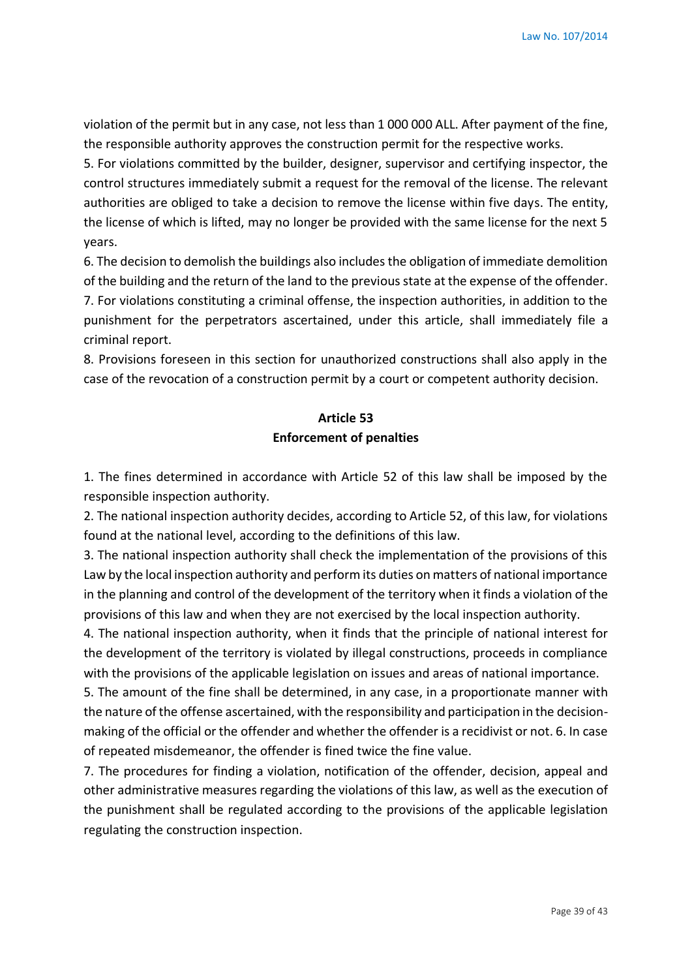violation of the permit but in any case, not less than 1 000 000 ALL. After payment of the fine, the responsible authority approves the construction permit for the respective works.

5. For violations committed by the builder, designer, supervisor and certifying inspector, the control structures immediately submit a request for the removal of the license. The relevant authorities are obliged to take a decision to remove the license within five days. The entity, the license of which is lifted, may no longer be provided with the same license for the next 5 years.

6. The decision to demolish the buildings also includes the obligation of immediate demolition of the building and the return of the land to the previous state at the expense of the offender. 7. For violations constituting a criminal offense, the inspection authorities, in addition to the punishment for the perpetrators ascertained, under this article, shall immediately file a criminal report.

8. Provisions foreseen in this section for unauthorized constructions shall also apply in the case of the revocation of a construction permit by a court or competent authority decision.

# **Article 53 Enforcement of penalties**

1. The fines determined in accordance with Article 52 of this law shall be imposed by the responsible inspection authority.

2. The national inspection authority decides, according to Article 52, of this law, for violations found at the national level, according to the definitions of this law.

3. The national inspection authority shall check the implementation of the provisions of this Law by the local inspection authority and perform its duties on matters of national importance in the planning and control of the development of the territory when it finds a violation of the provisions of this law and when they are not exercised by the local inspection authority.

4. The national inspection authority, when it finds that the principle of national interest for the development of the territory is violated by illegal constructions, proceeds in compliance with the provisions of the applicable legislation on issues and areas of national importance.

5. The amount of the fine shall be determined, in any case, in a proportionate manner with the nature of the offense ascertained, with the responsibility and participation in the decisionmaking of the official or the offender and whether the offender is a recidivist or not. 6. In case of repeated misdemeanor, the offender is fined twice the fine value.

7. The procedures for finding a violation, notification of the offender, decision, appeal and other administrative measures regarding the violations of this law, as well as the execution of the punishment shall be regulated according to the provisions of the applicable legislation regulating the construction inspection.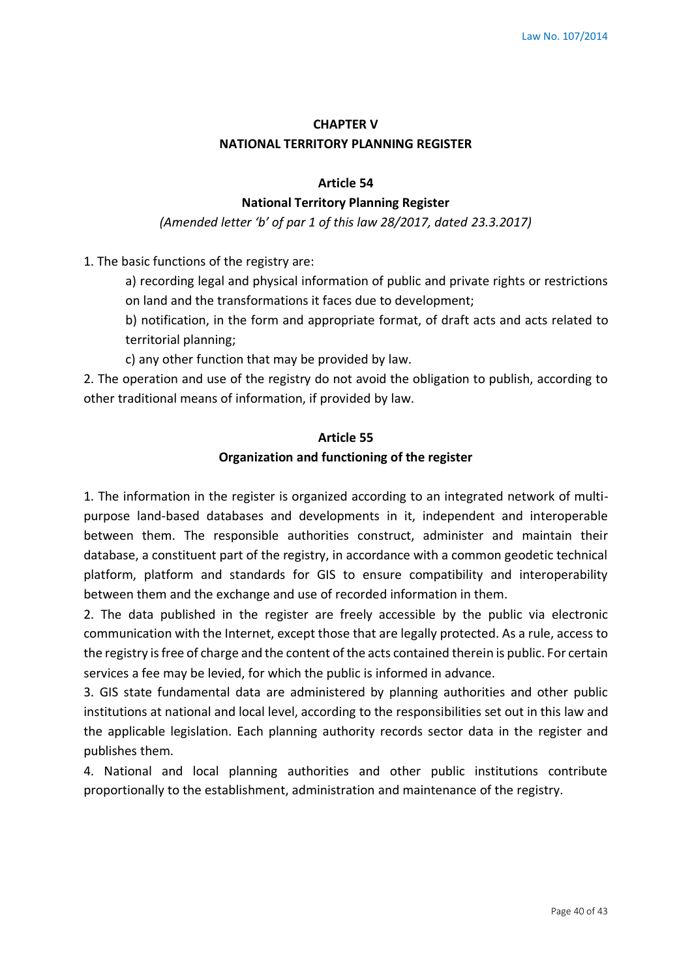# **CHAPTER V NATIONAL TERRITORY PLANNING REGISTER**

#### **Article 54**

#### **National Territory Planning Register**

*(Amended letter 'b' of par 1 of this law 28/2017, dated 23.3.2017)*

1. The basic functions of the registry are:

a) recording legal and physical information of public and private rights or restrictions on land and the transformations it faces due to development;

b) notification, in the form and appropriate format, of draft acts and acts related to territorial planning;

c) any other function that may be provided by law.

2. The operation and use of the registry do not avoid the obligation to publish, according to other traditional means of information, if provided by law.

#### **Article 55**

#### **Organization and functioning of the register**

1. The information in the register is organized according to an integrated network of multipurpose land-based databases and developments in it, independent and interoperable between them. The responsible authorities construct, administer and maintain their database, a constituent part of the registry, in accordance with a common geodetic technical platform, platform and standards for GIS to ensure compatibility and interoperability between them and the exchange and use of recorded information in them.

2. The data published in the register are freely accessible by the public via electronic communication with the Internet, except those that are legally protected. As a rule, access to the registry is free of charge and the content of the acts contained therein is public. For certain services a fee may be levied, for which the public is informed in advance.

3. GIS state fundamental data are administered by planning authorities and other public institutions at national and local level, according to the responsibilities set out in this law and the applicable legislation. Each planning authority records sector data in the register and publishes them.

4. National and local planning authorities and other public institutions contribute proportionally to the establishment, administration and maintenance of the registry.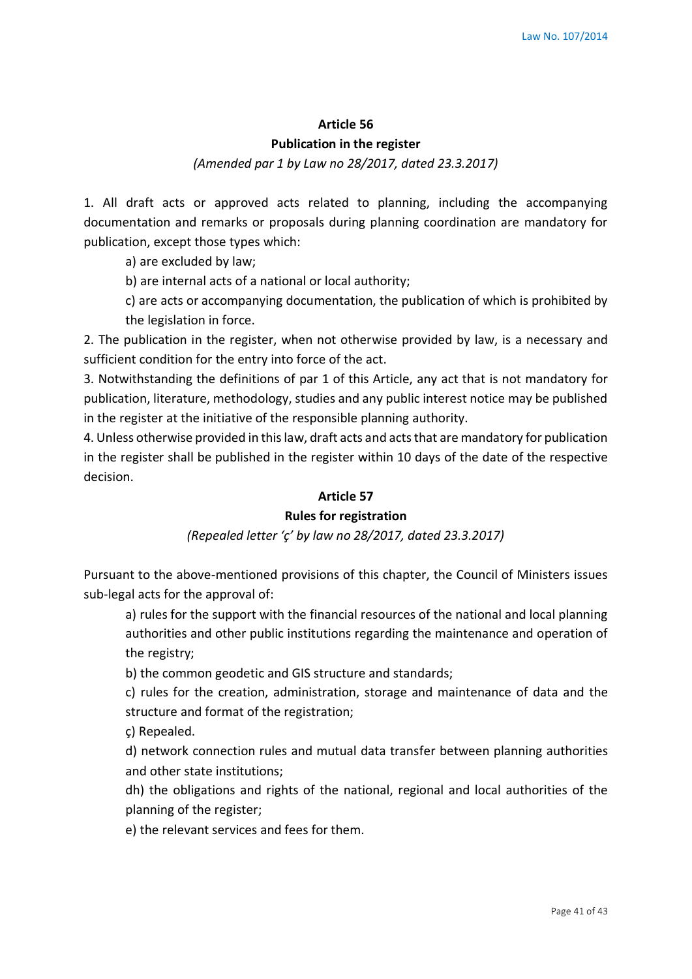# **Article 56**

### **Publication in the register**

### *(Amended par 1 by Law no 28/2017, dated 23.3.2017)*

1. All draft acts or approved acts related to planning, including the accompanying documentation and remarks or proposals during planning coordination are mandatory for publication, except those types which:

a) are excluded by law;

b) are internal acts of a national or local authority;

c) are acts or accompanying documentation, the publication of which is prohibited by the legislation in force.

2. The publication in the register, when not otherwise provided by law, is a necessary and sufficient condition for the entry into force of the act.

3. Notwithstanding the definitions of par 1 of this Article, any act that is not mandatory for publication, literature, methodology, studies and any public interest notice may be published in the register at the initiative of the responsible planning authority.

4. Unless otherwise provided in this law, draft acts and acts that are mandatory for publication in the register shall be published in the register within 10 days of the date of the respective decision.

### **Article 57**

### **Rules for registration**

#### *(Repealed letter 'ç' by law no 28/2017, dated 23.3.2017)*

Pursuant to the above-mentioned provisions of this chapter, the Council of Ministers issues sub-legal acts for the approval of:

a) rules for the support with the financial resources of the national and local planning authorities and other public institutions regarding the maintenance and operation of the registry;

b) the common geodetic and GIS structure and standards;

c) rules for the creation, administration, storage and maintenance of data and the structure and format of the registration;

ç) Repealed.

d) network connection rules and mutual data transfer between planning authorities and other state institutions;

dh) the obligations and rights of the national, regional and local authorities of the planning of the register;

e) the relevant services and fees for them.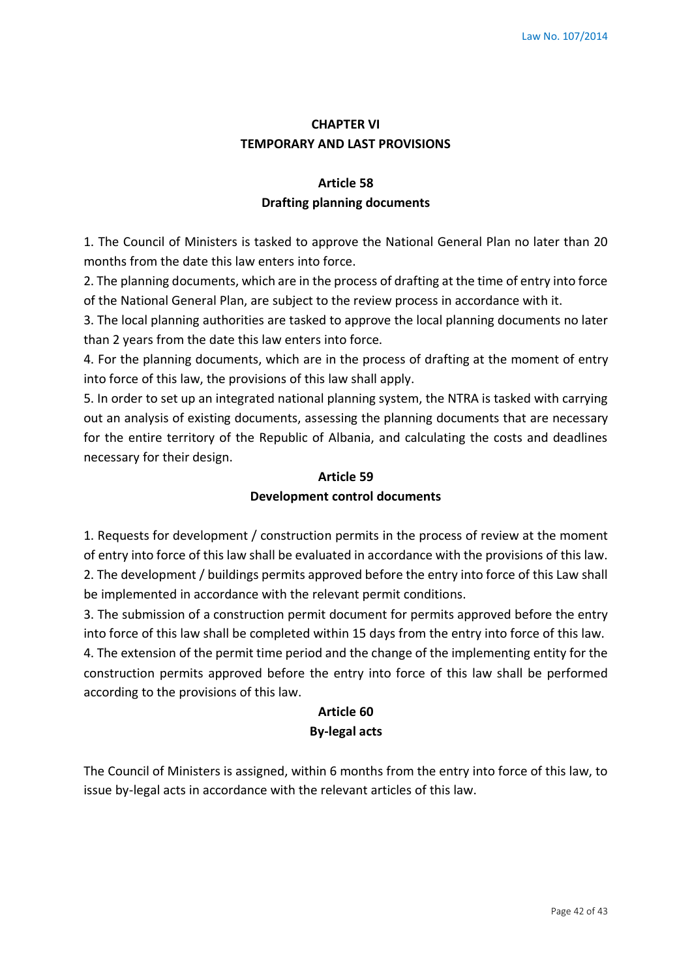# **CHAPTER VI TEMPORARY AND LAST PROVISIONS**

# **Article 58 Drafting planning documents**

1. The Council of Ministers is tasked to approve the National General Plan no later than 20 months from the date this law enters into force.

2. The planning documents, which are in the process of drafting at the time of entry into force of the National General Plan, are subject to the review process in accordance with it.

3. The local planning authorities are tasked to approve the local planning documents no later than 2 years from the date this law enters into force.

4. For the planning documents, which are in the process of drafting at the moment of entry into force of this law, the provisions of this law shall apply.

5. In order to set up an integrated national planning system, the NTRA is tasked with carrying out an analysis of existing documents, assessing the planning documents that are necessary for the entire territory of the Republic of Albania, and calculating the costs and deadlines necessary for their design.

# **Article 59 Development control documents**

1. Requests for development / construction permits in the process of review at the moment of entry into force of this law shall be evaluated in accordance with the provisions of this law. 2. The development / buildings permits approved before the entry into force of this Law shall be implemented in accordance with the relevant permit conditions.

3. The submission of a construction permit document for permits approved before the entry into force of this law shall be completed within 15 days from the entry into force of this law. 4. The extension of the permit time period and the change of the implementing entity for the construction permits approved before the entry into force of this law shall be performed according to the provisions of this law.

# **Article 60 By-legal acts**

The Council of Ministers is assigned, within 6 months from the entry into force of this law, to issue by-legal acts in accordance with the relevant articles of this law.